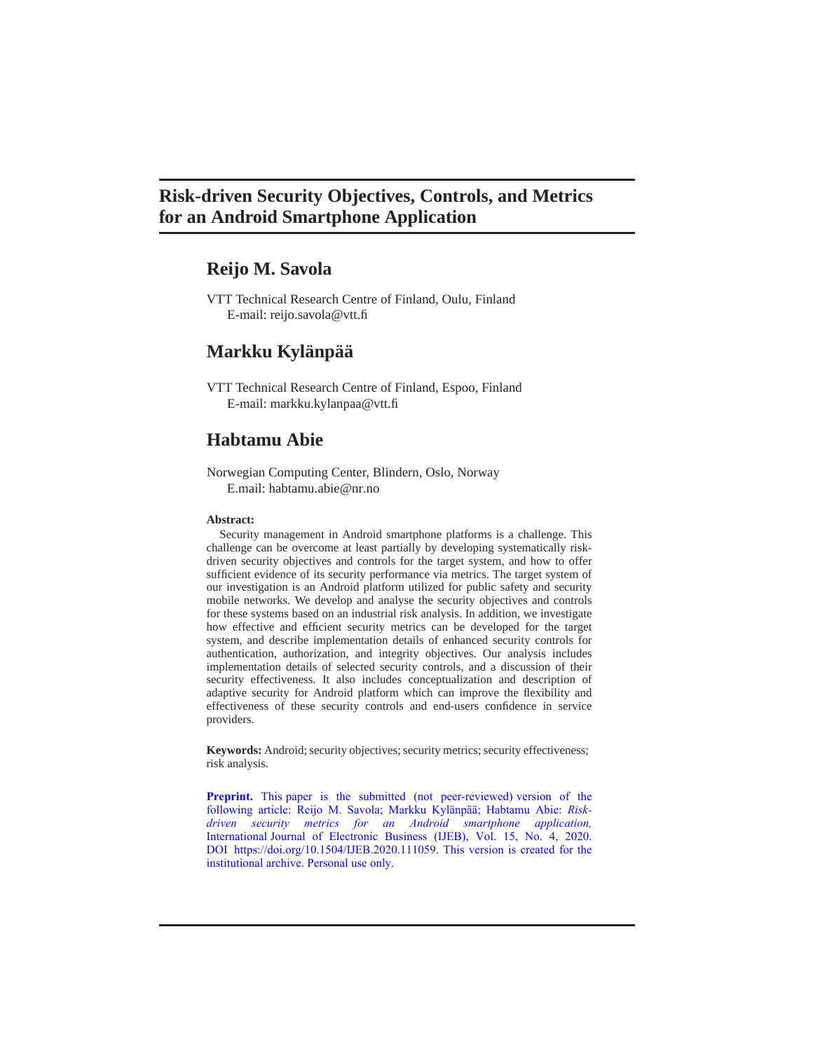# **Risk-driven Security Objectives, Controls, and Metrics for an Android Smartphone Application**

# **Reijo M. Savola**

VTT Technical Research Centre of Finland, Oulu, Finland E-mail: [reijo.savola@vtt.fi](mailto:reijo.savola@vtt.fi)

# **Markku Kylänpää**

VTT Technical Research Centre of Finland, Espoo, Finland E-mail: [markku.kylanpaa@vtt.fi](mailto:markku.kylanpaa@vtt.fi)

# **Habtamu Abie**

Norwegian Computing Center, Blindern, Oslo, Norway E.mail: [habtamu.abie@nr.no](mailto:habtamu.abie@nr.no)

#### **Abstract:**

Security management in Android smartphone platforms is a challenge. This challenge can be overcome at least partially by developing systematically riskdriven security objectives and controls for the target system, and how to offer sufficient evidence of its security performance via metrics. The target system of our investigation is an Android platform utilized for public safety and security mobile networks. We develop and analyse the security objectives and controls for these systems based on an industrial risk analysis. In addition, we investigate how effective and efficient security metrics can be developed for the target system, and describe implementation details of enhanced security controls for authentication, authorization, and integrity objectives. Our analysis includes implementation details of selected security controls, and a discussion of their security effectiveness. It also includes conceptualization and description of adaptive security for Android platform which can improve the flexibility and effectiveness of these security controls and end-users confidence in service providers.

Keywords: Android; security objectives; security metrics; security effectiveness; risk analysis.

**Preprint.** This paper is the submitted (not peer-reviewed) version of the following article: Reijo M. Savola; Markku Kylänpää; Habtamu Abie: *Riskdriven security metrics for an Android smartphone application,* International Journal of Electronic Business (IJEB), Vol. 15, No. 4[, 2020.](https://doi.org/10.1504/IJEB.2020.111059)  DOI https:/[/doi.org/10.1504/IJEB.2020.111059. T](https://doi.org/10.1504/IJEB.2020.111059)his version is created for the institutional archive. Personal use only.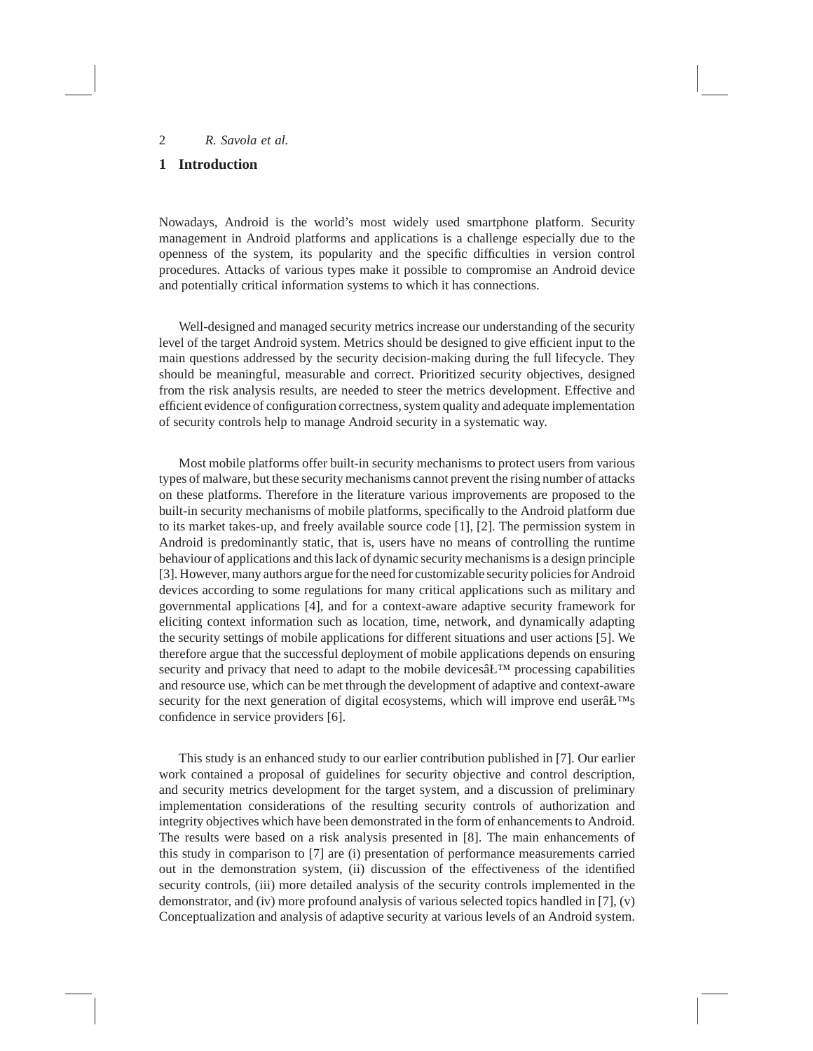# **1 Introduction**

Nowadays, Android is the world's most widely used smartphone platform. Security management in Android platforms and applications is a challenge especially due to the openness of the system, its popularity and the specific difficulties in version control procedures. Attacks of various types make it possible to compromise an Android device and potentially critical information systems to which it has connections.

Well-designed and managed security metrics increase our understanding of the security level of the target Android system. Metrics should be designed to give efficient input to the main questions addressed by the security decision-making during the full lifecycle. They should be meaningful, measurable and correct. Prioritized security objectives, designed from the risk analysis results, are needed to steer the metrics development. Effective and efficient evidence of configuration correctness, system quality and adequate implementation of security controls help to manage Android security in a systematic way.

Most mobile platforms offer built-in security mechanisms to protect users from various types of malware, but these security mechanisms cannot prevent the rising number of attacks on these platforms. Therefore in the literature various improvements are proposed to the built-in security mechanisms of mobile platforms, specifically to the Android platform due to its market takes-up, and freely available source code [1], [2]. The permission system in Android is predominantly static, that is, users have no means of controlling the runtime behaviour of applications and this lack of dynamic security mechanisms is a design principle [3]. However, many authors argue for the need for customizable security policies for Android devices according to some regulations for many critical applications such as military and governmental applications [4], and for a context-aware adaptive security framework for eliciting context information such as location, time, network, and dynamically adapting the security settings of mobile applications for different situations and user actions [5]. We therefore argue that the successful deployment of mobile applications depends on ensuring security and privacy that need to adapt to the mobile devices $\hat{a}L^{TM}$  processing capabilities and resource use, which can be met through the development of adaptive and context-aware security for the next generation of digital ecosystems, which will improve end user $\hat{a}L^{TM}s$ confidence in service providers [6].

This study is an enhanced study to our earlier contribution published in [7]. Our earlier work contained a proposal of guidelines for security objective and control description, and security metrics development for the target system, and a discussion of preliminary implementation considerations of the resulting security controls of authorization and integrity objectives which have been demonstrated in the form of enhancements to Android. The results were based on a risk analysis presented in [8]. The main enhancements of this study in comparison to [7] are (i) presentation of performance measurements carried out in the demonstration system, (ii) discussion of the effectiveness of the identified security controls, (iii) more detailed analysis of the security controls implemented in the demonstrator, and (iv) more profound analysis of various selected topics handled in [7], (v) Conceptualization and analysis of adaptive security at various levels of an Android system.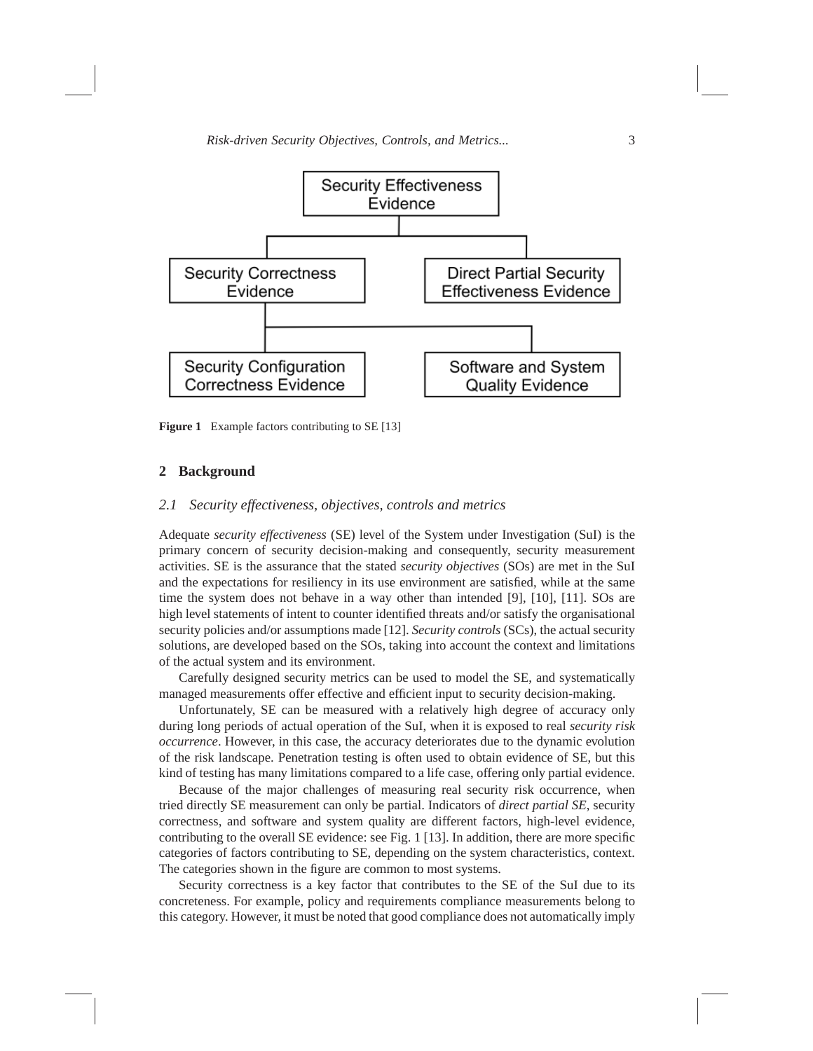

**Figure 1** Example factors contributing to SE [13]

#### **2 Background**

### *2.1 Security effectiveness, objectives, controls and metrics*

Adequate *security effectiveness* (SE) level of the System under Investigation (SuI) is the primary concern of security decision-making and consequently, security measurement activities. SE is the assurance that the stated *security objectives* (SOs) are met in the SuI and the expectations for resiliency in its use environment are satisfied, while at the same time the system does not behave in a way other than intended [9], [10], [11]. SOs are high level statements of intent to counter identified threats and/or satisfy the organisational security policies and/or assumptions made [12]. *Security controls* (SCs), the actual security solutions, are developed based on the SOs, taking into account the context and limitations of the actual system and its environment.

Carefully designed security metrics can be used to model the SE, and systematically managed measurements offer effective and efficient input to security decision-making.

Unfortunately, SE can be measured with a relatively high degree of accuracy only during long periods of actual operation of the SuI, when it is exposed to real *security risk occurrence*. However, in this case, the accuracy deteriorates due to the dynamic evolution of the risk landscape. Penetration testing is often used to obtain evidence of SE, but this kind of testing has many limitations compared to a life case, offering only partial evidence.

Because of the major challenges of measuring real security risk occurrence, when tried directly SE measurement can only be partial. Indicators of *direct partial SE*, security correctness, and software and system quality are different factors, high-level evidence, contributing to the overall SE evidence: see Fig. 1 [13]. In addition, there are more specific categories of factors contributing to SE, depending on the system characteristics, context. The categories shown in the figure are common to most systems.

Security correctness is a key factor that contributes to the SE of the SuI due to its concreteness. For example, policy and requirements compliance measurements belong to this category. However, it must be noted that good compliance does not automatically imply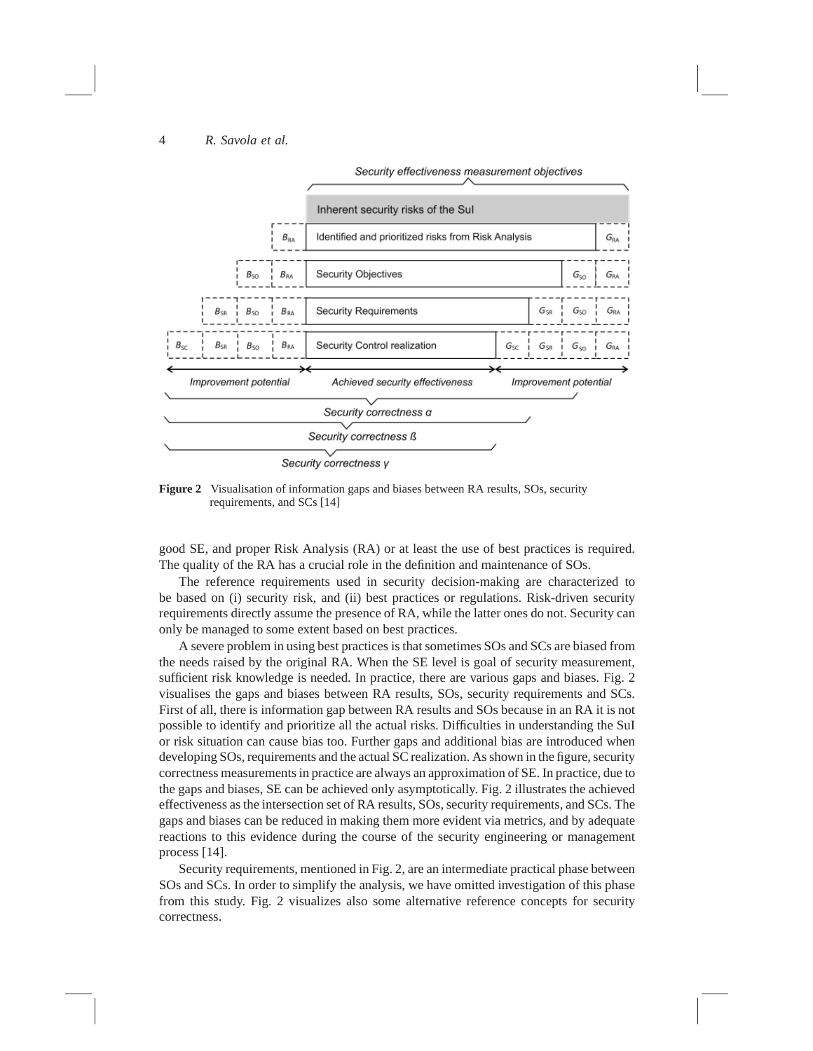

**Figure 2** Visualisation of information gaps and biases between RA results, SOs, security requirements, and SCs [14]

good SE, and proper Risk Analysis (RA) or at least the use of best practices is required. The quality of the RA has a crucial role in the definition and maintenance of SOs.

The reference requirements used in security decision-making are characterized to be based on (i) security risk, and (ii) best practices or regulations. Risk-driven security requirements directly assume the presence of RA, while the latter ones do not. Security can only be managed to some extent based on best practices.

A severe problem in using best practices is that sometimes SOs and SCs are biased from the needs raised by the original RA. When the SE level is goal of security measurement, sufficient risk knowledge is needed. In practice, there are various gaps and biases. Fig. 2 visualises the gaps and biases between RA results, SOs, security requirements and SCs. First of all, there is information gap between RA results and SOs because in an RA it is not possible to identify and prioritize all the actual risks. Difficulties in understanding the SuI or risk situation can cause bias too. Further gaps and additional bias are introduced when developing SOs, requirements and the actual SC realization. As shown in the figure, security correctness measurements in practice are always an approximation of SE. In practice, due to the gaps and biases, SE can be achieved only asymptotically. Fig. 2 illustrates the achieved effectiveness as the intersection set of RA results, SOs, security requirements, and SCs. The gaps and biases can be reduced in making them more evident via metrics, and by adequate reactions to this evidence during the course of the security engineering or management process [14].

Security requirements, mentioned in Fig. 2, are an intermediate practical phase between SOs and SCs. In order to simplify the analysis, we have omitted investigation of this phase from this study. Fig. 2 visualizes also some alternative reference concepts for security correctness.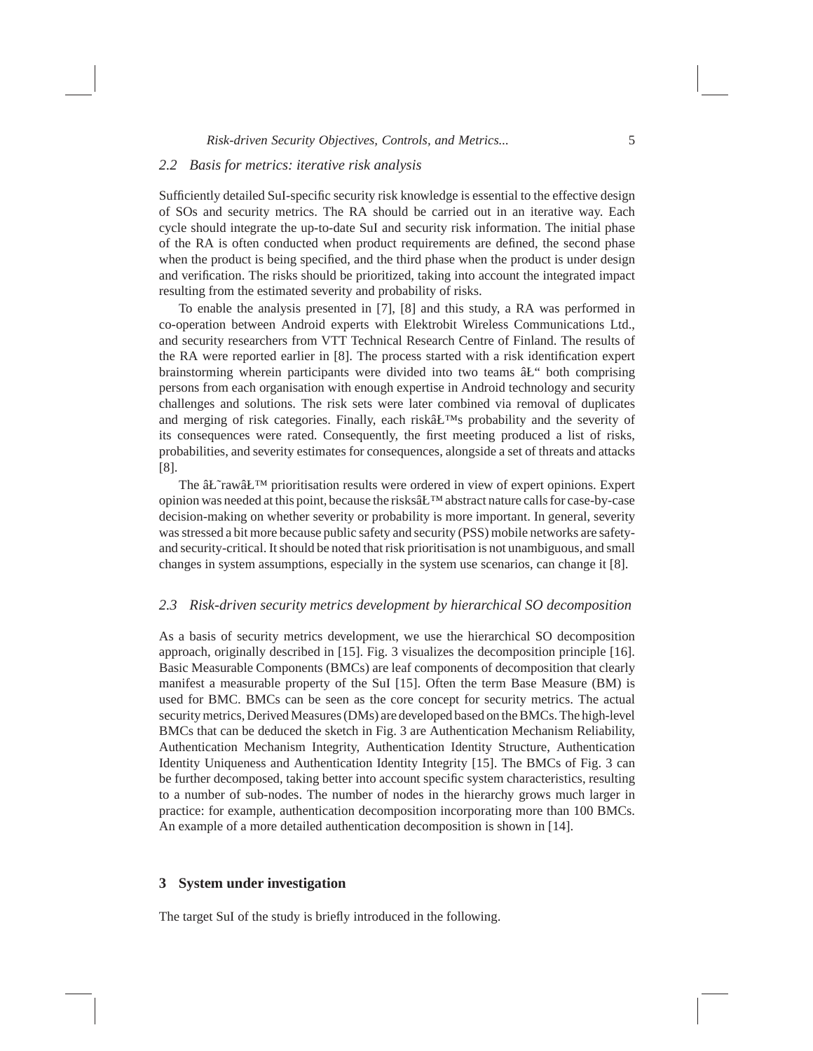# *2.2 Basis for metrics: iterative risk analysis*

Sufficiently detailed SuI-specific security risk knowledge is essential to the effective design of SOs and security metrics. The RA should be carried out in an iterative way. Each cycle should integrate the up-to-date SuI and security risk information. The initial phase of the RA is often conducted when product requirements are defined, the second phase when the product is being specified, and the third phase when the product is under design and verification. The risks should be prioritized, taking into account the integrated impact resulting from the estimated severity and probability of risks.

To enable the analysis presented in [7], [8] and this study, a RA was performed in co-operation between Android experts with Elektrobit Wireless Communications Ltd., and security researchers from VTT Technical Research Centre of Finland. The results of the RA were reported earlier in [8]. The process started with a risk identification expert brainstorming wherein participants were divided into two teams  $\hat{a}E^{\prime\prime}$  both comprising persons from each organisation with enough expertise in Android technology and security challenges and solutions. The risk sets were later combined via removal of duplicates and merging of risk categories. Finally, each risk $\hat{a}L^{TMs}$  probability and the severity of its consequences were rated. Consequently, the first meeting produced a list of risks, probabilities, and severity estimates for consequences, alongside a set of threats and attacks [8].

The  $\hat{a}$  Expert prioritisation results were ordered in view of expert opinions. Expert opinion was needed at this point, because the risks $\hat{a}L^{TM}$  abstract nature calls for case-by-case decision-making on whether severity or probability is more important. In general, severity was stressed a bit more because public safety and security (PSS) mobile networks are safetyand security-critical. It should be noted that risk prioritisation is not unambiguous, and small changes in system assumptions, especially in the system use scenarios, can change it [8].

#### *2.3 Risk-driven security metrics development by hierarchical SO decomposition*

As a basis of security metrics development, we use the hierarchical SO decomposition approach, originally described in [15]. Fig. 3 visualizes the decomposition principle [16]. Basic Measurable Components (BMCs) are leaf components of decomposition that clearly manifest a measurable property of the SuI [15]. Often the term Base Measure (BM) is used for BMC. BMCs can be seen as the core concept for security metrics. The actual security metrics, Derived Measures (DMs) are developed based on the BMCs. The high-level BMCs that can be deduced the sketch in Fig. 3 are Authentication Mechanism Reliability, Authentication Mechanism Integrity, Authentication Identity Structure, Authentication Identity Uniqueness and Authentication Identity Integrity [15]. The BMCs of Fig. 3 can be further decomposed, taking better into account specific system characteristics, resulting to a number of sub-nodes. The number of nodes in the hierarchy grows much larger in practice: for example, authentication decomposition incorporating more than 100 BMCs. An example of a more detailed authentication decomposition is shown in [14].

# **3 System under investigation**

The target SuI of the study is briefly introduced in the following.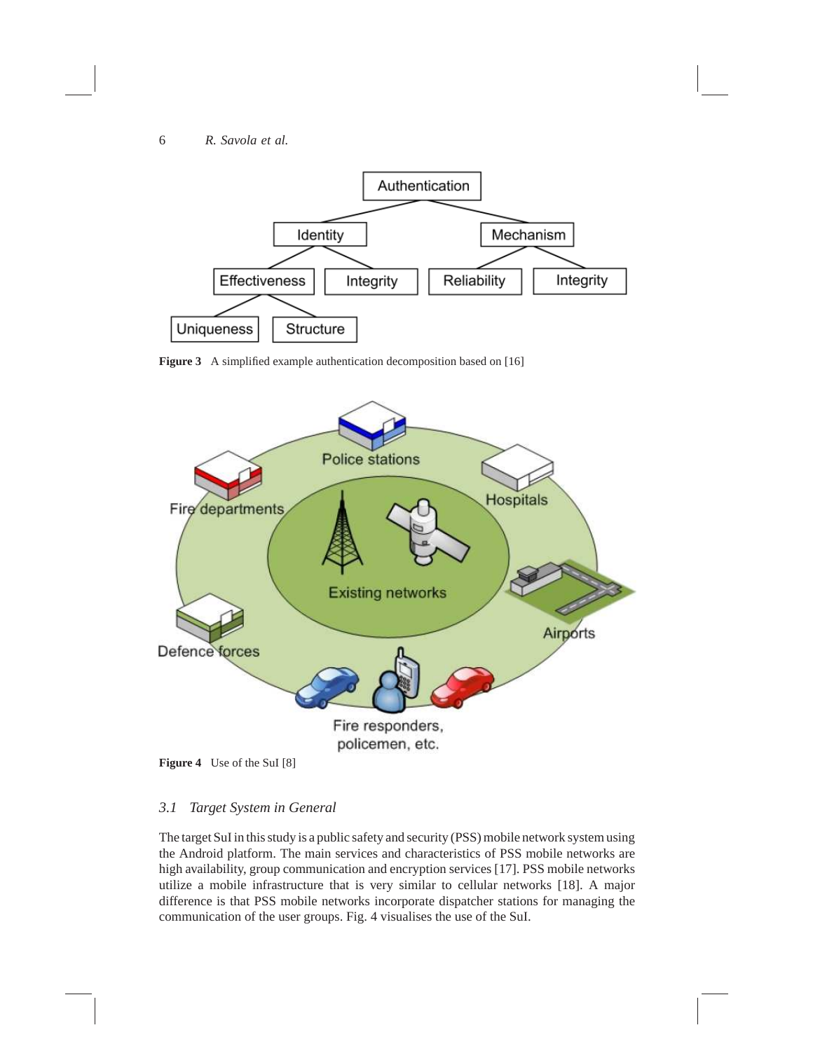

**Figure 3** A simplified example authentication decomposition based on [16]



**Figure 4** Use of the SuI [8]

# *3.1 Target System in General*

The target SuI in this study is a public safety and security (PSS) mobile network system using the Android platform. The main services and characteristics of PSS mobile networks are high availability, group communication and encryption services [17]. PSS mobile networks utilize a mobile infrastructure that is very similar to cellular networks [18]. A major difference is that PSS mobile networks incorporate dispatcher stations for managing the communication of the user groups. Fig. 4 visualises the use of the SuI.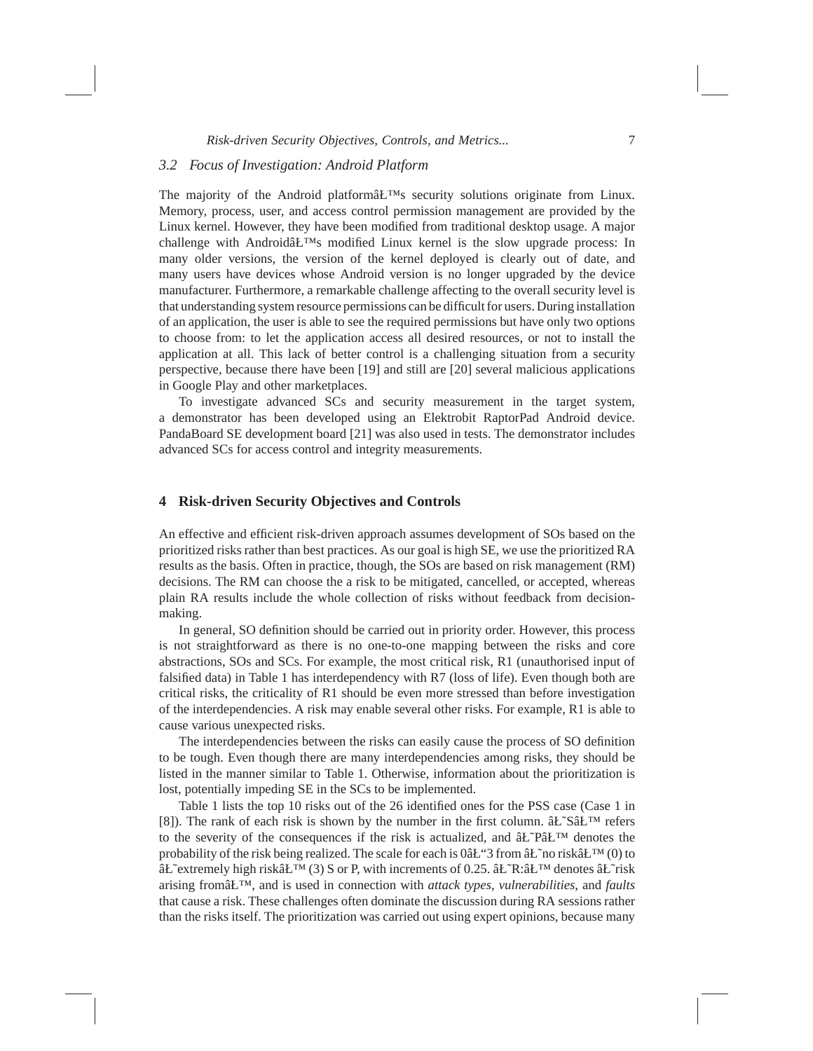# *3.2 Focus of Investigation: Android Platform*

The majority of the Android platform $\hat{a}L^{TM}$ s security solutions originate from Linux. Memory, process, user, and access control permission management are provided by the Linux kernel. However, they have been modified from traditional desktop usage. A major challenge with Androidâ $E^{TM}$ s modified Linux kernel is the slow upgrade process: In many older versions, the version of the kernel deployed is clearly out of date, and many users have devices whose Android version is no longer upgraded by the device manufacturer. Furthermore, a remarkable challenge affecting to the overall security level is that understanding system resource permissions can be difficult for users. During installation of an application, the user is able to see the required permissions but have only two options to choose from: to let the application access all desired resources, or not to install the application at all. This lack of better control is a challenging situation from a security perspective, because there have been [19] and still are [20] several malicious applications in Google Play and other marketplaces.

To investigate advanced SCs and security measurement in the target system, a demonstrator has been developed using an Elektrobit RaptorPad Android device. PandaBoard SE development board [21] was also used in tests. The demonstrator includes advanced SCs for access control and integrity measurements.

# **4 Risk-driven Security Objectives and Controls**

An effective and efficient risk-driven approach assumes development of SOs based on the prioritized risks rather than best practices. As our goal is high SE, we use the prioritized RA results as the basis. Often in practice, though, the SOs are based on risk management (RM) decisions. The RM can choose the a risk to be mitigated, cancelled, or accepted, whereas plain RA results include the whole collection of risks without feedback from decisionmaking.

In general, SO definition should be carried out in priority order. However, this process is not straightforward as there is no one-to-one mapping between the risks and core abstractions, SOs and SCs. For example, the most critical risk, R1 (unauthorised input of falsified data) in Table 1 has interdependency with R7 (loss of life). Even though both are critical risks, the criticality of R1 should be even more stressed than before investigation of the interdependencies. A risk may enable several other risks. For example, R1 is able to cause various unexpected risks.

The interdependencies between the risks can easily cause the process of SO definition to be tough. Even though there are many interdependencies among risks, they should be listed in the manner similar to Table 1. Otherwise, information about the prioritization is lost, potentially impeding SE in the SCs to be implemented.

Table 1 lists the top 10 risks out of the 26 identified ones for the PSS case (Case 1 in [8]). The rank of each risk is shown by the number in the first column.  $\hat{a}L^{\infty}S\hat{a}L^{\text{TM}}$  refers to the severity of the consequences if the risk is actualized, and  $\hat{a}L^{\gamma}P\hat{a}L^{\gamma}M$  denotes the probability of the risk being realized. The scale for each is 0 $\hat{a}L$  and  $\hat{a}L$ <sup>n</sup> in risk $\hat{a}L$ <sup>n</sup> (0) to  $\hat{a}L^{\text{c}}$ extremely high risk $\hat{a}L^{\text{TM}}(3)$  S or P, with increments of 0.25.  $\hat{a}L^{\text{T}}R:\hat{a}L^{\text{T}}M$  denotes  $\hat{a}L^{\text{T}}$ risk arising fromâ $E^{TM}$ , and is used in connection with *attack types*, *vulnerabilities*, and *faults* that cause a risk. These challenges often dominate the discussion during RA sessions rather than the risks itself. The prioritization was carried out using expert opinions, because many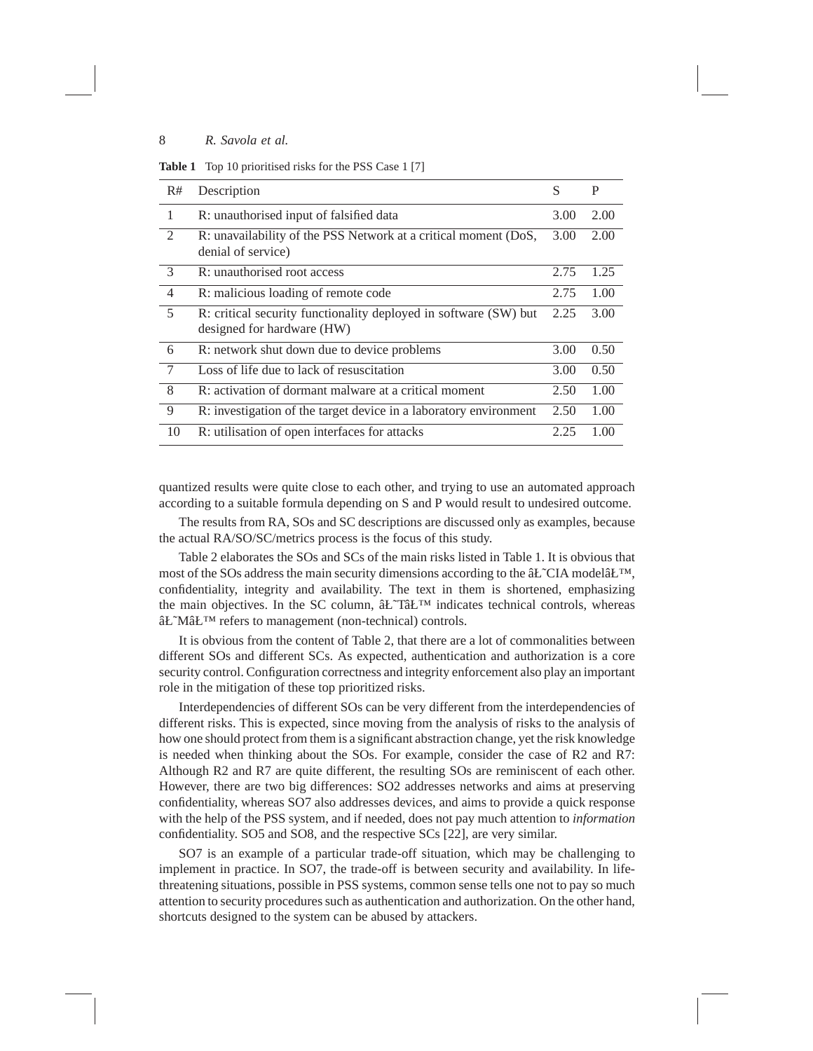**Table 1** Top 10 prioritised risks for the PSS Case 1 [7]

| R#              | Description                                                                                    | S    | P    |
|-----------------|------------------------------------------------------------------------------------------------|------|------|
| 1               | R: unauthorised input of falsified data                                                        | 3.00 | 2.00 |
| $\overline{2}$  | R: unavailability of the PSS Network at a critical moment (DoS,<br>denial of service)          | 3.00 | 2.00 |
| $\mathcal{E}$   | R: unauthorised root access                                                                    | 2.75 | 1.25 |
| $\overline{4}$  | R: malicious loading of remote code                                                            | 2.75 | 1.00 |
| 5               | R: critical security functionality deployed in software (SW) but<br>designed for hardware (HW) | 2.25 | 3.00 |
| - 6             | R: network shut down due to device problems                                                    | 3.00 | 0.50 |
| $7\phantom{.0}$ | Loss of life due to lack of resuscitation                                                      | 3.00 | 0.50 |
| 8               | R: activation of dormant malware at a critical moment                                          | 2.50 | 1.00 |
| 9               | R: investigation of the target device in a laboratory environment                              | 2.50 | 1.00 |
| 10              | R: utilisation of open interfaces for attacks                                                  | 2.25 | 1.00 |

quantized results were quite close to each other, and trying to use an automated approach according to a suitable formula depending on S and P would result to undesired outcome.

The results from RA, SOs and SC descriptions are discussed only as examples, because the actual RA/SO/SC/metrics process is the focus of this study.

Table 2 elaborates the SOs and SCs of the main risks listed in Table 1. It is obvious that most of the SOs address the main security dimensions according to the  $\hat{a}L^{\infty}$ . Model $\hat{a}L^{\infty}$ , confidentiality, integrity and availability. The text in them is shortened, emphasizing the main objectives. In the SC column,  $\hat{a}L^T\hat{a}L^T$  indicates technical controls, whereas âŁ~M⣙ refers to management (non-technical) controls.

It is obvious from the content of Table 2, that there are a lot of commonalities between different SOs and different SCs. As expected, authentication and authorization is a core security control. Configuration correctness and integrity enforcement also play an important role in the mitigation of these top prioritized risks.

Interdependencies of different SOs can be very different from the interdependencies of different risks. This is expected, since moving from the analysis of risks to the analysis of how one should protect from them is a significant abstraction change, yet the risk knowledge is needed when thinking about the SOs. For example, consider the case of R2 and R7: Although R2 and R7 are quite different, the resulting SOs are reminiscent of each other. However, there are two big differences: SO2 addresses networks and aims at preserving confidentiality, whereas SO7 also addresses devices, and aims to provide a quick response with the help of the PSS system, and if needed, does not pay much attention to *information* confidentiality. SO5 and SO8, and the respective SCs [22], are very similar.

SO7 is an example of a particular trade-off situation, which may be challenging to implement in practice. In SO7, the trade-off is between security and availability. In lifethreatening situations, possible in PSS systems, common sense tells one not to pay so much attention to security procedures such as authentication and authorization. On the other hand, shortcuts designed to the system can be abused by attackers.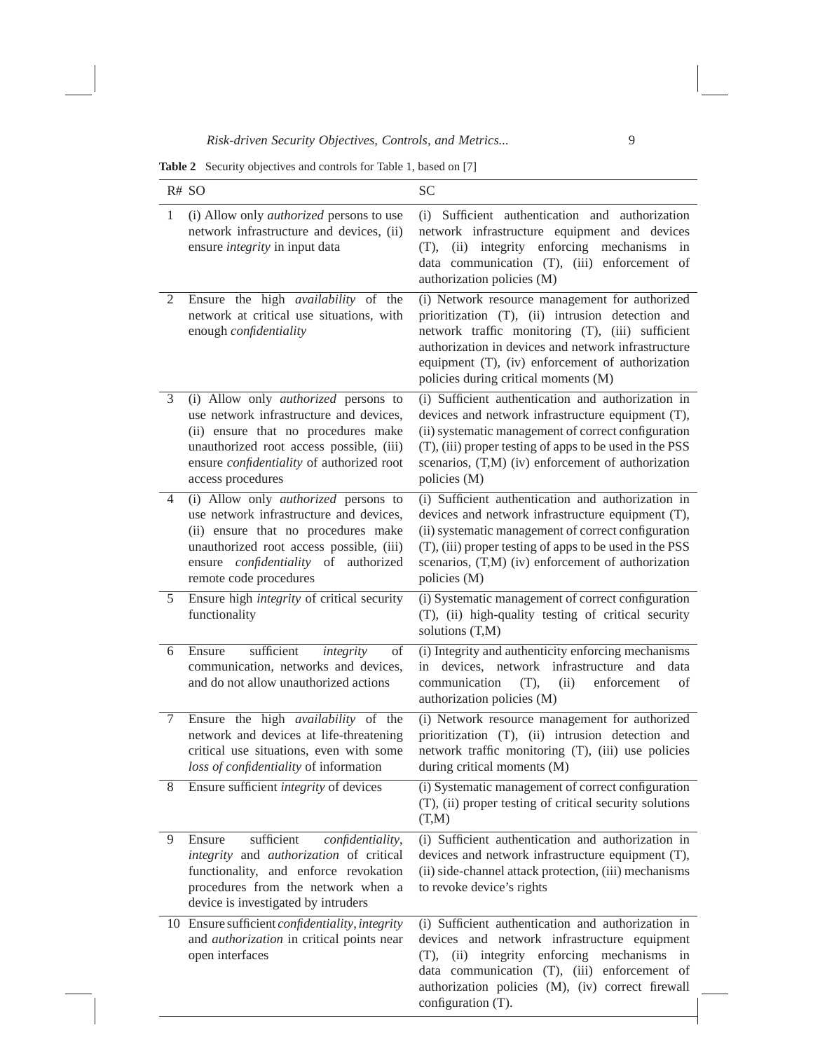**Table 2** Security objectives and controls for Table 1, based on [7]

|              | R# SO                                                                                                                                                                                                                                              | <b>SC</b>                                                                                                                                                                                                                                                                                                 |
|--------------|----------------------------------------------------------------------------------------------------------------------------------------------------------------------------------------------------------------------------------------------------|-----------------------------------------------------------------------------------------------------------------------------------------------------------------------------------------------------------------------------------------------------------------------------------------------------------|
| $\mathbf{1}$ | (i) Allow only <i>authorized</i> persons to use<br>network infrastructure and devices, (ii)<br>ensure <i>integrity</i> in input data                                                                                                               | Sufficient authentication and authorization<br>(i)<br>network infrastructure equipment and devices<br>integrity enforcing mechanisms<br>(T),<br>(ii)<br>in<br>data communication (T), (iii) enforcement of<br>authorization policies (M)                                                                  |
| 2            | Ensure the high availability of the<br>network at critical use situations, with<br>enough confidentiality                                                                                                                                          | (i) Network resource management for authorized<br>prioritization (T), (ii) intrusion detection and<br>network traffic monitoring (T), (iii) sufficient<br>authorization in devices and network infrastructure<br>equipment (T), (iv) enforcement of authorization<br>policies during critical moments (M) |
| 3            | (i) Allow only <i>authorized</i> persons to<br>use network infrastructure and devices,<br>(ii) ensure that no procedures make<br>unauthorized root access possible, (iii)<br>ensure <i>confidentiality</i> of authorized root<br>access procedures | (i) Sufficient authentication and authorization in<br>devices and network infrastructure equipment (T),<br>(ii) systematic management of correct configuration<br>(T), (iii) proper testing of apps to be used in the PSS<br>scenarios, (T,M) (iv) enforcement of authorization<br>policies (M)           |
| 4            | (i) Allow only <i>authorized</i> persons to<br>use network infrastructure and devices,<br>(ii) ensure that no procedures make<br>unauthorized root access possible, (iii)<br>ensure <i>confidentiality</i> of authorized<br>remote code procedures | (i) Sufficient authentication and authorization in<br>devices and network infrastructure equipment (T),<br>(ii) systematic management of correct configuration<br>(T), (iii) proper testing of apps to be used in the PSS<br>scenarios, (T,M) (iv) enforcement of authorization<br>policies (M)           |
| 5            | Ensure high <i>integrity</i> of critical security<br>functionality                                                                                                                                                                                 | (i) Systematic management of correct configuration<br>(T), (ii) high-quality testing of critical security<br>solutions (T,M)                                                                                                                                                                              |
| 6            | Ensure<br>sufficient<br>integrity<br>of<br>communication, networks and devices,<br>and do not allow unauthorized actions                                                                                                                           | (i) Integrity and authenticity enforcing mechanisms<br>in devices, network infrastructure<br>and<br>data<br>communication<br>(T),<br>enforcement<br>of<br>(ii)<br>authorization policies (M)                                                                                                              |
| $\tau$       | Ensure the high <i>availability</i> of the<br>network and devices at life-threatening<br>critical use situations, even with some<br>loss of confidentiality of information                                                                         | (i) Network resource management for authorized<br>prioritization (T), (ii) intrusion detection and<br>network traffic monitoring (T), (iii) use policies<br>during critical moments (M)                                                                                                                   |
| 8            | Ensure sufficient <i>integrity</i> of devices                                                                                                                                                                                                      | (i) Systematic management of correct configuration<br>(T), (ii) proper testing of critical security solutions<br>(T,M)                                                                                                                                                                                    |
| 9            | sufficient<br>Ensure<br>confidentiality,<br>integrity and authorization of critical<br>functionality, and enforce revokation<br>procedures from the network when a<br>device is investigated by intruders                                          | (i) Sufficient authentication and authorization in<br>devices and network infrastructure equipment (T),<br>(ii) side-channel attack protection, (iii) mechanisms<br>to revoke device's rights                                                                                                             |
|              | 10 Ensure sufficient <i>confidentiality</i> , <i>integrity</i><br>and <i>authorization</i> in critical points near<br>open interfaces                                                                                                              | (i) Sufficient authentication and authorization in<br>devices and network infrastructure equipment<br>mechanisms<br>integrity enforcing<br>(ii)<br>(T),<br>in<br>data communication (T), (iii) enforcement of<br>authorization policies (M), (iv) correct firewall<br>configuration (T).                  |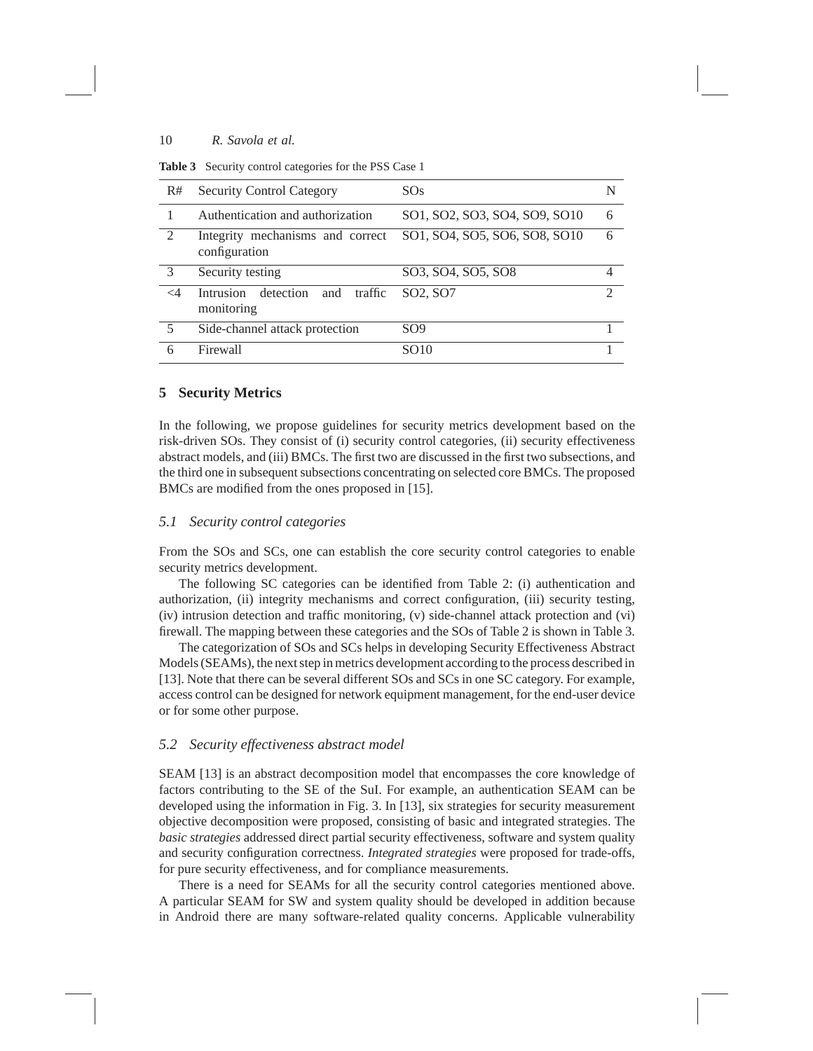| R#             | <b>Security Control Category</b>                              | SOS                               | N             |
|----------------|---------------------------------------------------------------|-----------------------------------|---------------|
|                | Authentication and authorization                              | SO1, SO2, SO3, SO4, SO9, SO10     | 6             |
| $\mathfrak{D}$ | Integrity mechanisms and correct<br>configuration             | SO1, SO4, SO5, SO6, SO8, SO10     | 6             |
| $\mathcal{E}$  | Security testing                                              | SO3, SO4, SO5, SO8                | 4             |
| $\leq$ 4       | detection<br><b>Intrusion</b><br>traffic<br>and<br>monitoring | SO <sub>2</sub> , SO <sub>7</sub> | $\mathcal{D}$ |
| 5              | Side-channel attack protection                                | SO9                               |               |
| 6              | Firewall                                                      | SO10                              |               |

# **5 Security Metrics**

In the following, we propose guidelines for security metrics development based on the risk-driven SOs. They consist of (i) security control categories, (ii) security effectiveness abstract models, and (iii) BMCs. The first two are discussed in the first two subsections, and the third one in subsequent subsections concentrating on selected core BMCs. The proposed BMCs are modified from the ones proposed in [15].

# *5.1 Security control categories*

From the SOs and SCs, one can establish the core security control categories to enable security metrics development.

The following SC categories can be identified from Table 2: (i) authentication and authorization, (ii) integrity mechanisms and correct configuration, (iii) security testing, (iv) intrusion detection and traffic monitoring, (v) side-channel attack protection and (vi) firewall. The mapping between these categories and the SOs of Table 2 is shown in Table 3.

The categorization of SOs and SCs helps in developing Security Effectiveness Abstract Models (SEAMs), the next step in metrics development according to the process described in [13]. Note that there can be several different SOs and SCs in one SC category. For example, access control can be designed for network equipment management, for the end-user device or for some other purpose.

#### *5.2 Security effectiveness abstract model*

SEAM [13] is an abstract decomposition model that encompasses the core knowledge of factors contributing to the SE of the SuI. For example, an authentication SEAM can be developed using the information in Fig. 3. In [13], six strategies for security measurement objective decomposition were proposed, consisting of basic and integrated strategies. The *basic strategies* addressed direct partial security effectiveness, software and system quality and security configuration correctness. *Integrated strategies* were proposed for trade-offs, for pure security effectiveness, and for compliance measurements.

There is a need for SEAMs for all the security control categories mentioned above. A particular SEAM for SW and system quality should be developed in addition because in Android there are many software-related quality concerns. Applicable vulnerability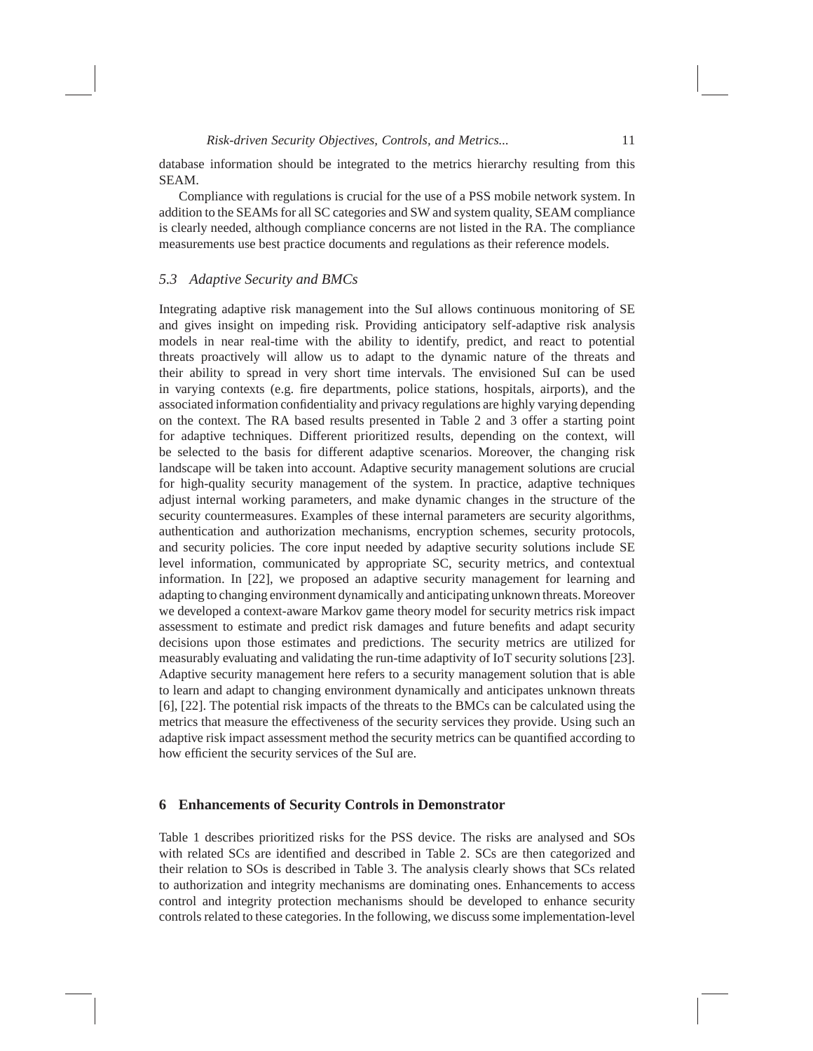database information should be integrated to the metrics hierarchy resulting from this SEAM.

Compliance with regulations is crucial for the use of a PSS mobile network system. In addition to the SEAMs for all SC categories and SW and system quality, SEAM compliance is clearly needed, although compliance concerns are not listed in the RA. The compliance measurements use best practice documents and regulations as their reference models.

## *5.3 Adaptive Security and BMCs*

Integrating adaptive risk management into the SuI allows continuous monitoring of SE and gives insight on impeding risk. Providing anticipatory self-adaptive risk analysis models in near real-time with the ability to identify, predict, and react to potential threats proactively will allow us to adapt to the dynamic nature of the threats and their ability to spread in very short time intervals. The envisioned SuI can be used in varying contexts (e.g. fire departments, police stations, hospitals, airports), and the associated information confidentiality and privacy regulations are highly varying depending on the context. The RA based results presented in Table 2 and 3 offer a starting point for adaptive techniques. Different prioritized results, depending on the context, will be selected to the basis for different adaptive scenarios. Moreover, the changing risk landscape will be taken into account. Adaptive security management solutions are crucial for high-quality security management of the system. In practice, adaptive techniques adjust internal working parameters, and make dynamic changes in the structure of the security countermeasures. Examples of these internal parameters are security algorithms, authentication and authorization mechanisms, encryption schemes, security protocols, and security policies. The core input needed by adaptive security solutions include SE level information, communicated by appropriate SC, security metrics, and contextual information. In [22], we proposed an adaptive security management for learning and adapting to changing environment dynamically and anticipating unknown threats. Moreover we developed a context-aware Markov game theory model for security metrics risk impact assessment to estimate and predict risk damages and future benefits and adapt security decisions upon those estimates and predictions. The security metrics are utilized for measurably evaluating and validating the run-time adaptivity of IoT security solutions [23]. Adaptive security management here refers to a security management solution that is able to learn and adapt to changing environment dynamically and anticipates unknown threats [6], [22]. The potential risk impacts of the threats to the BMCs can be calculated using the metrics that measure the effectiveness of the security services they provide. Using such an adaptive risk impact assessment method the security metrics can be quantified according to how efficient the security services of the SuI are.

#### **6 Enhancements of Security Controls in Demonstrator**

Table 1 describes prioritized risks for the PSS device. The risks are analysed and SOs with related SCs are identified and described in Table 2. SCs are then categorized and their relation to SOs is described in Table 3. The analysis clearly shows that SCs related to authorization and integrity mechanisms are dominating ones. Enhancements to access control and integrity protection mechanisms should be developed to enhance security controls related to these categories. In the following, we discuss some implementation-level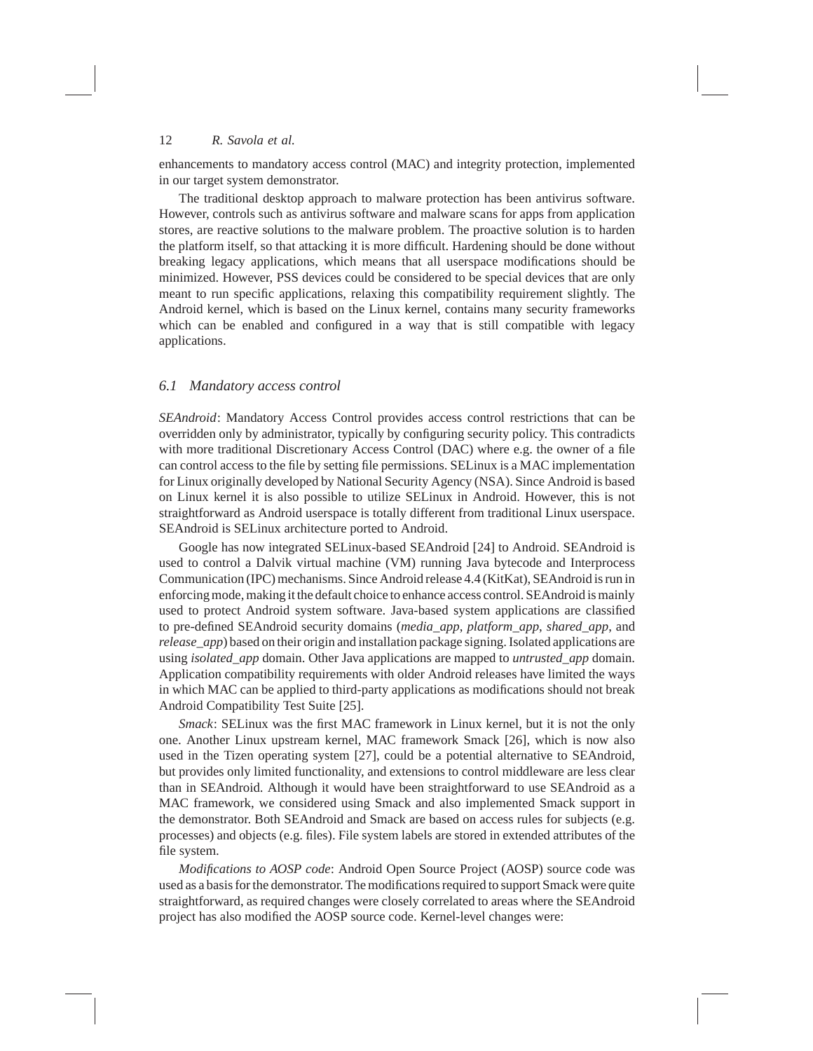enhancements to mandatory access control (MAC) and integrity protection, implemented in our target system demonstrator.

The traditional desktop approach to malware protection has been antivirus software. However, controls such as antivirus software and malware scans for apps from application stores, are reactive solutions to the malware problem. The proactive solution is to harden the platform itself, so that attacking it is more difficult. Hardening should be done without breaking legacy applications, which means that all userspace modifications should be minimized. However, PSS devices could be considered to be special devices that are only meant to run specific applications, relaxing this compatibility requirement slightly. The Android kernel, which is based on the Linux kernel, contains many security frameworks which can be enabled and configured in a way that is still compatible with legacy applications.

# *6.1 Mandatory access control*

*SEAndroid*: Mandatory Access Control provides access control restrictions that can be overridden only by administrator, typically by configuring security policy. This contradicts with more traditional Discretionary Access Control (DAC) where e.g. the owner of a file can control access to the file by setting file permissions. SELinux is a MAC implementation for Linux originally developed by National Security Agency (NSA). Since Android is based on Linux kernel it is also possible to utilize SELinux in Android. However, this is not straightforward as Android userspace is totally different from traditional Linux userspace. SEAndroid is SELinux architecture ported to Android.

Google has now integrated SELinux-based SEAndroid [24] to Android. SEAndroid is used to control a Dalvik virtual machine (VM) running Java bytecode and Interprocess Communication (IPC) mechanisms. Since Android release 4.4 (KitKat), SEAndroid is run in enforcing mode, making it the default choice to enhance access control. SEAndroid is mainly used to protect Android system software. Java-based system applications are classified to pre-defined SEAndroid security domains (*media\_app*, *platform\_app*, *shared\_app*, and *release\_app*) based on their origin and installation package signing. Isolated applications are using *isolated\_app* domain. Other Java applications are mapped to *untrusted\_app* domain. Application compatibility requirements with older Android releases have limited the ways in which MAC can be applied to third-party applications as modifications should not break Android Compatibility Test Suite [25].

*Smack*: SELinux was the first MAC framework in Linux kernel, but it is not the only one. Another Linux upstream kernel, MAC framework Smack [26], which is now also used in the Tizen operating system [27], could be a potential alternative to SEAndroid, but provides only limited functionality, and extensions to control middleware are less clear than in SEAndroid. Although it would have been straightforward to use SEAndroid as a MAC framework, we considered using Smack and also implemented Smack support in the demonstrator. Both SEAndroid and Smack are based on access rules for subjects (e.g. processes) and objects (e.g. files). File system labels are stored in extended attributes of the file system.

*Modifications to AOSP code*: Android Open Source Project (AOSP) source code was used as a basis for the demonstrator. The modifications required to support Smack were quite straightforward, as required changes were closely correlated to areas where the SEAndroid project has also modified the AOSP source code. Kernel-level changes were: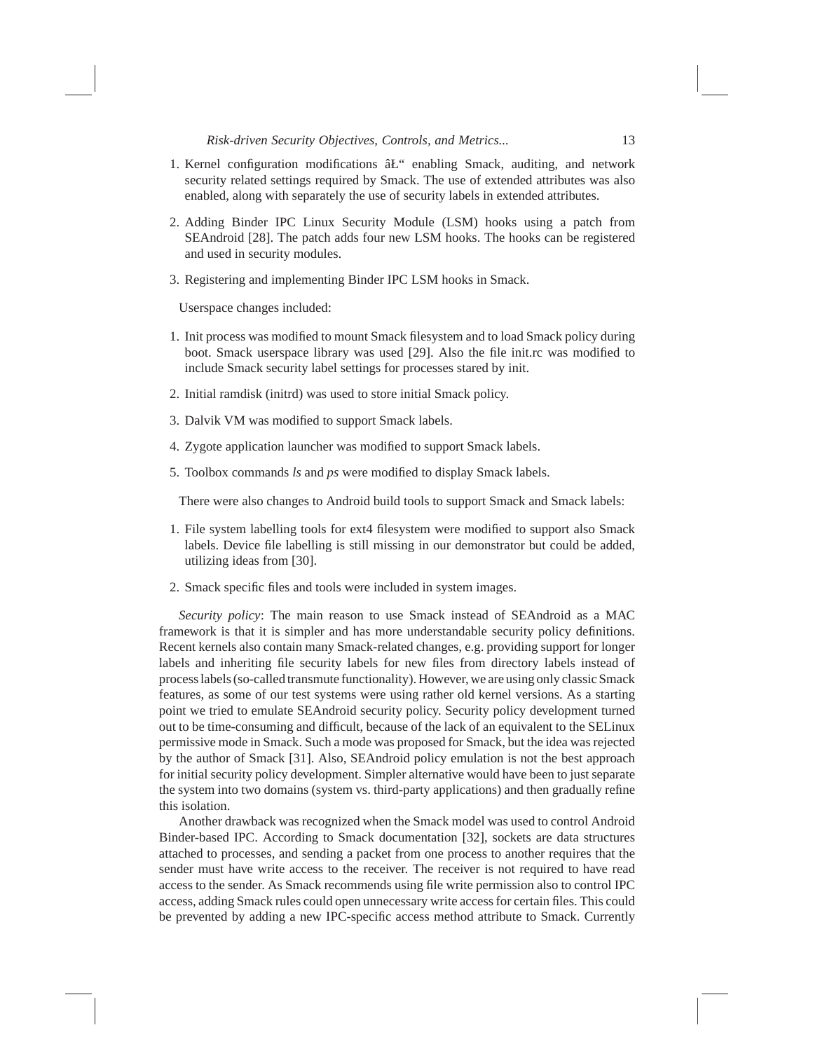- 1. Kernel configuration modifications  $\hat{a}L^{\prime\prime}$  enabling Smack, auditing, and network security related settings required by Smack. The use of extended attributes was also enabled, along with separately the use of security labels in extended attributes.
- 2. Adding Binder IPC Linux Security Module (LSM) hooks using a patch from SEAndroid [28]. The patch adds four new LSM hooks. The hooks can be registered and used in security modules.
- 3. Registering and implementing Binder IPC LSM hooks in Smack.

Userspace changes included:

- 1. Init process was modified to mount Smack filesystem and to load Smack policy during boot. Smack userspace library was used [29]. Also the file init.rc was modified to include Smack security label settings for processes stared by init.
- 2. Initial ramdisk (initrd) was used to store initial Smack policy.
- 3. Dalvik VM was modified to support Smack labels.
- 4. Zygote application launcher was modified to support Smack labels.
- 5. Toolbox commands *ls* and *ps* were modified to display Smack labels.

There were also changes to Android build tools to support Smack and Smack labels:

- 1. File system labelling tools for ext4 filesystem were modified to support also Smack labels. Device file labelling is still missing in our demonstrator but could be added, utilizing ideas from [30].
- 2. Smack specific files and tools were included in system images.

*Security policy*: The main reason to use Smack instead of SEAndroid as a MAC framework is that it is simpler and has more understandable security policy definitions. Recent kernels also contain many Smack-related changes, e.g. providing support for longer labels and inheriting file security labels for new files from directory labels instead of process labels (so-called transmute functionality). However, we are using only classic Smack features, as some of our test systems were using rather old kernel versions. As a starting point we tried to emulate SEAndroid security policy. Security policy development turned out to be time-consuming and difficult, because of the lack of an equivalent to the SELinux permissive mode in Smack. Such a mode was proposed for Smack, but the idea was rejected by the author of Smack [31]. Also, SEAndroid policy emulation is not the best approach for initial security policy development. Simpler alternative would have been to just separate the system into two domains (system vs. third-party applications) and then gradually refine this isolation.

Another drawback was recognized when the Smack model was used to control Android Binder-based IPC. According to Smack documentation [32], sockets are data structures attached to processes, and sending a packet from one process to another requires that the sender must have write access to the receiver. The receiver is not required to have read access to the sender. As Smack recommends using file write permission also to control IPC access, adding Smack rules could open unnecessary write access for certain files. This could be prevented by adding a new IPC-specific access method attribute to Smack. Currently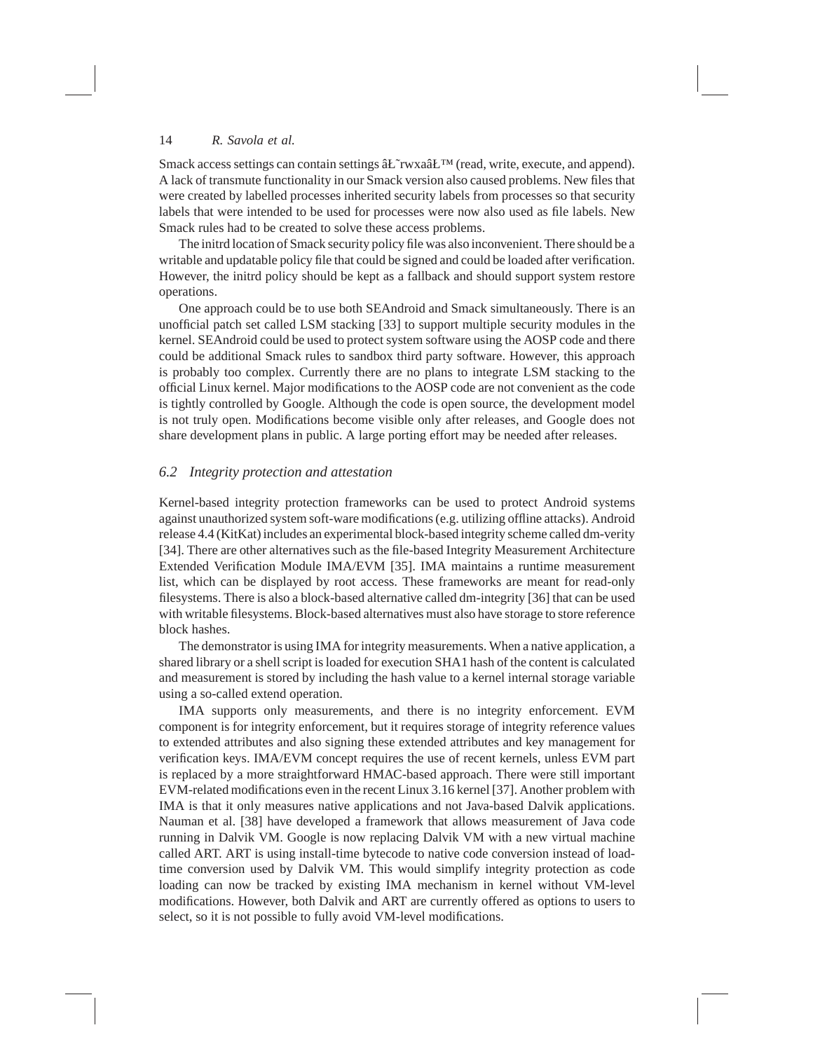Smack access settings can contain settings  $\hat{a}L^{\text{Tw}}$  (read, write, execute, and append). A lack of transmute functionality in our Smack version also caused problems. New files that were created by labelled processes inherited security labels from processes so that security labels that were intended to be used for processes were now also used as file labels. New Smack rules had to be created to solve these access problems.

The initrd location of Smack security policy file was also inconvenient. There should be a writable and updatable policy file that could be signed and could be loaded after verification. However, the initrd policy should be kept as a fallback and should support system restore operations.

One approach could be to use both SEAndroid and Smack simultaneously. There is an unofficial patch set called LSM stacking [33] to support multiple security modules in the kernel. SEAndroid could be used to protect system software using the AOSP code and there could be additional Smack rules to sandbox third party software. However, this approach is probably too complex. Currently there are no plans to integrate LSM stacking to the official Linux kernel. Major modifications to the AOSP code are not convenient as the code is tightly controlled by Google. Although the code is open source, the development model is not truly open. Modifications become visible only after releases, and Google does not share development plans in public. A large porting effort may be needed after releases.

#### *6.2 Integrity protection and attestation*

Kernel-based integrity protection frameworks can be used to protect Android systems against unauthorized system soft-ware modifications (e.g. utilizing offline attacks). Android release 4.4 (KitKat) includes an experimental block-based integrity scheme called dm-verity [34]. There are other alternatives such as the file-based Integrity Measurement Architecture Extended Verification Module IMA/EVM [35]. IMA maintains a runtime measurement list, which can be displayed by root access. These frameworks are meant for read-only filesystems. There is also a block-based alternative called dm-integrity [36] that can be used with writable filesystems. Block-based alternatives must also have storage to store reference block hashes.

The demonstrator is using IMA for integrity measurements. When a native application, a shared library or a shell script is loaded for execution SHA1 hash of the content is calculated and measurement is stored by including the hash value to a kernel internal storage variable using a so-called extend operation.

IMA supports only measurements, and there is no integrity enforcement. EVM component is for integrity enforcement, but it requires storage of integrity reference values to extended attributes and also signing these extended attributes and key management for verification keys. IMA/EVM concept requires the use of recent kernels, unless EVM part is replaced by a more straightforward HMAC-based approach. There were still important EVM-related modifications even in the recent Linux 3.16 kernel [37]. Another problem with IMA is that it only measures native applications and not Java-based Dalvik applications. Nauman et al. [38] have developed a framework that allows measurement of Java code running in Dalvik VM. Google is now replacing Dalvik VM with a new virtual machine called ART. ART is using install-time bytecode to native code conversion instead of loadtime conversion used by Dalvik VM. This would simplify integrity protection as code loading can now be tracked by existing IMA mechanism in kernel without VM-level modifications. However, both Dalvik and ART are currently offered as options to users to select, so it is not possible to fully avoid VM-level modifications.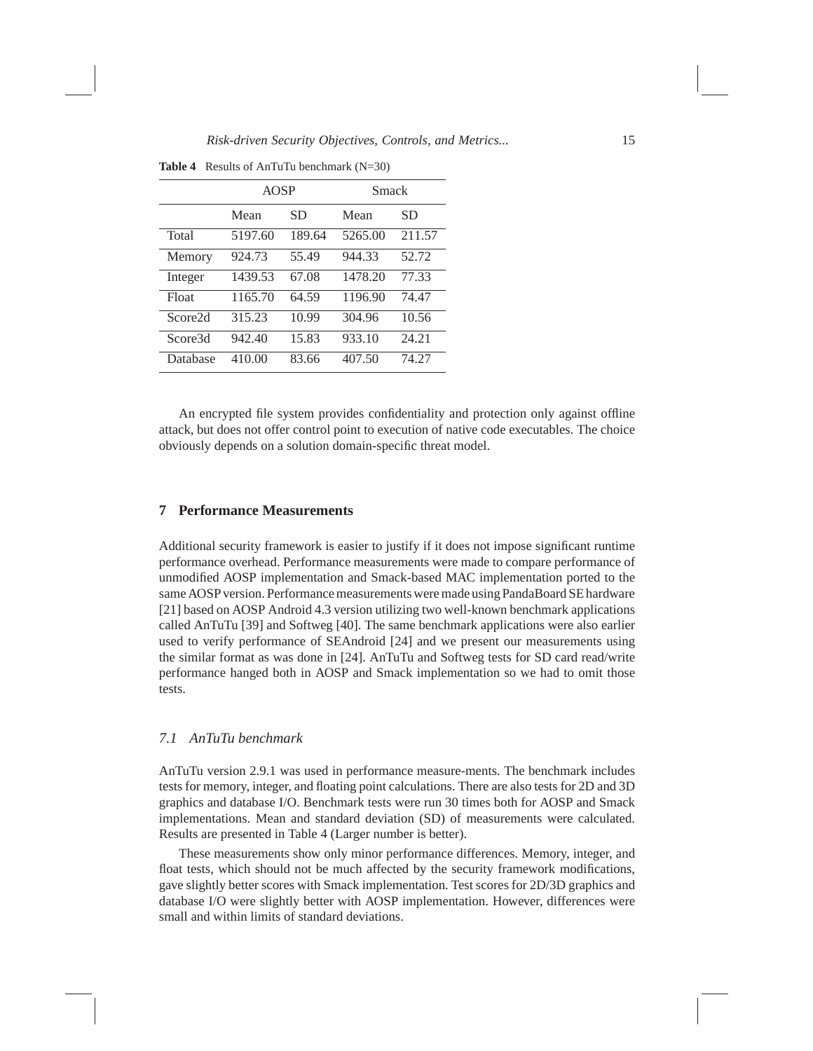**Table 4** Results of AnTuTu benchmark (N=30)

|                     | <b>AOSP</b> |        | Smack   |           |
|---------------------|-------------|--------|---------|-----------|
|                     | Mean        | SD     | Mean    | <b>SD</b> |
| Total               | 5197.60     | 189.64 | 5265.00 | 211.57    |
| Memory              | 924.73      | 55.49  | 944.33  | 52.72     |
| Integer             | 1439.53     | 67.08  | 1478.20 | 77.33     |
| Float               | 1165.70     | 64.59  | 1196.90 | 74.47     |
| Score <sub>2d</sub> | 315.23      | 10.99  | 304.96  | 10.56     |
| Score3d             | 942.40      | 15.83  | 933.10  | 24.21     |
| Database            | 410.00      | 83.66  | 407.50  | 74.27     |

An encrypted file system provides confidentiality and protection only against offline attack, but does not offer control point to execution of native code executables. The choice obviously depends on a solution domain-specific threat model.

# **7 Performance Measurements**

Additional security framework is easier to justify if it does not impose significant runtime performance overhead. Performance measurements were made to compare performance of unmodified AOSP implementation and Smack-based MAC implementation ported to the same AOSP version. Performance measurements were made using PandaBoard SE hardware [21] based on AOSP Android 4.3 version utilizing two well-known benchmark applications called AnTuTu [39] and Softweg [40]. The same benchmark applications were also earlier used to verify performance of SEAndroid [24] and we present our measurements using the similar format as was done in [24]. AnTuTu and Softweg tests for SD card read/write performance hanged both in AOSP and Smack implementation so we had to omit those tests.

# *7.1 AnTuTu benchmark*

AnTuTu version 2.9.1 was used in performance measure-ments. The benchmark includes tests for memory, integer, and floating point calculations. There are also tests for 2D and 3D graphics and database I/O. Benchmark tests were run 30 times both for AOSP and Smack implementations. Mean and standard deviation (SD) of measurements were calculated. Results are presented in Table 4 (Larger number is better).

These measurements show only minor performance differences. Memory, integer, and float tests, which should not be much affected by the security framework modifications, gave slightly better scores with Smack implementation. Test scores for 2D/3D graphics and database I/O were slightly better with AOSP implementation. However, differences were small and within limits of standard deviations.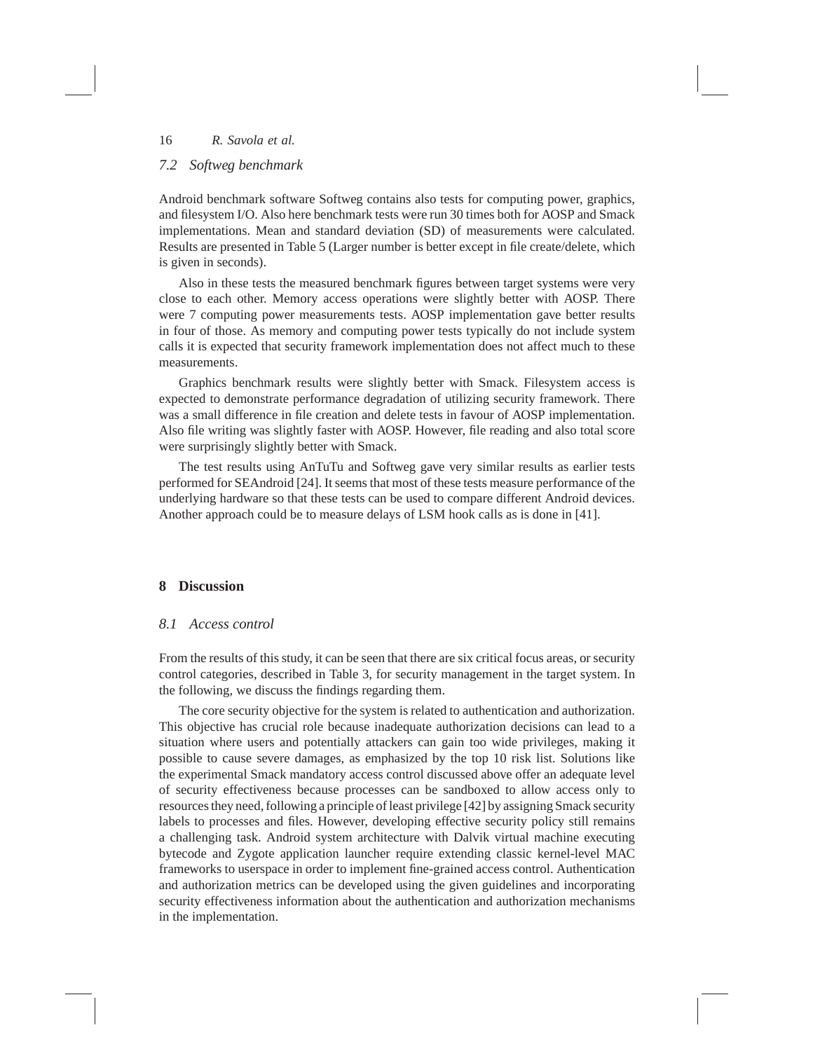# *7.2 Softweg benchmark*

Android benchmark software Softweg contains also tests for computing power, graphics, and filesystem I/O. Also here benchmark tests were run 30 times both for AOSP and Smack implementations. Mean and standard deviation (SD) of measurements were calculated. Results are presented in Table 5 (Larger number is better except in file create/delete, which is given in seconds).

Also in these tests the measured benchmark figures between target systems were very close to each other. Memory access operations were slightly better with AOSP. There were 7 computing power measurements tests. AOSP implementation gave better results in four of those. As memory and computing power tests typically do not include system calls it is expected that security framework implementation does not affect much to these measurements.

Graphics benchmark results were slightly better with Smack. Filesystem access is expected to demonstrate performance degradation of utilizing security framework. There was a small difference in file creation and delete tests in favour of AOSP implementation. Also file writing was slightly faster with AOSP. However, file reading and also total score were surprisingly slightly better with Smack.

The test results using AnTuTu and Softweg gave very similar results as earlier tests performed for SEAndroid [24]. It seems that most of these tests measure performance of the underlying hardware so that these tests can be used to compare different Android devices. Another approach could be to measure delays of LSM hook calls as is done in [41].

# **8 Discussion**

#### *8.1 Access control*

From the results of this study, it can be seen that there are six critical focus areas, or security control categories, described in Table 3, for security management in the target system. In the following, we discuss the findings regarding them.

The core security objective for the system is related to authentication and authorization. This objective has crucial role because inadequate authorization decisions can lead to a situation where users and potentially attackers can gain too wide privileges, making it possible to cause severe damages, as emphasized by the top 10 risk list. Solutions like the experimental Smack mandatory access control discussed above offer an adequate level of security effectiveness because processes can be sandboxed to allow access only to resources they need, following a principle of least privilege [42] by assigning Smack security labels to processes and files. However, developing effective security policy still remains a challenging task. Android system architecture with Dalvik virtual machine executing bytecode and Zygote application launcher require extending classic kernel-level MAC frameworks to userspace in order to implement fine-grained access control. Authentication and authorization metrics can be developed using the given guidelines and incorporating security effectiveness information about the authentication and authorization mechanisms in the implementation.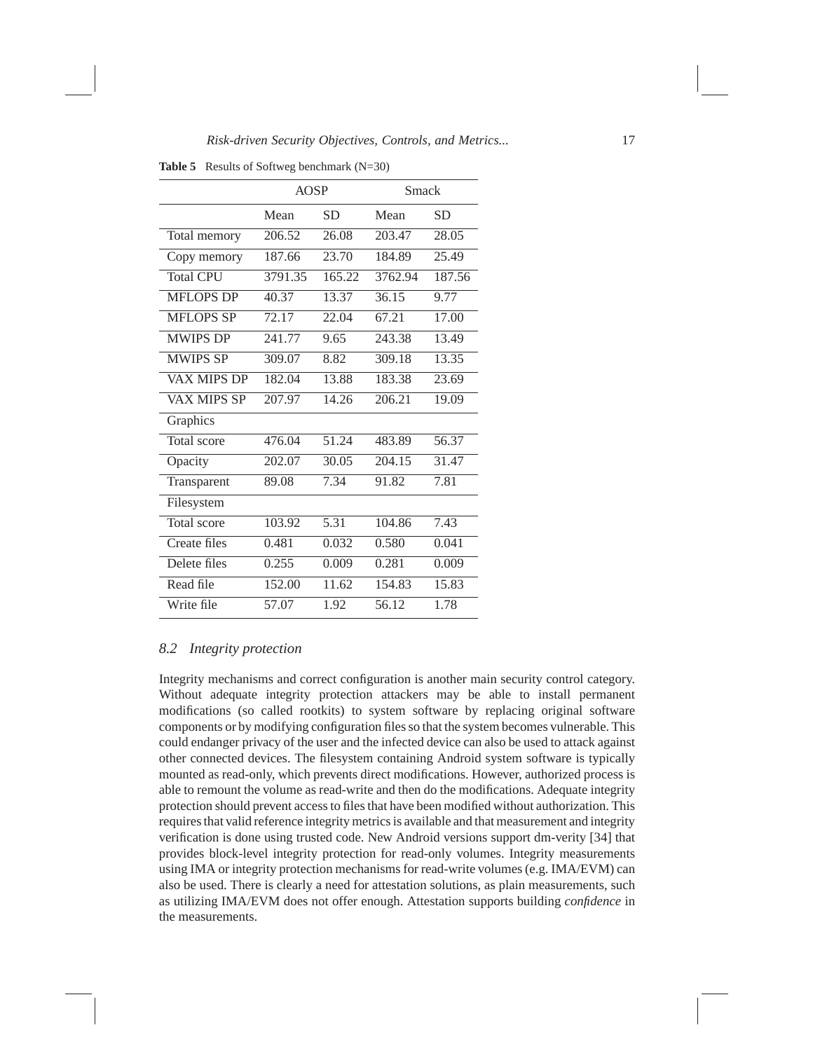**Table 5** Results of Softweg benchmark (N=30)

|                    | <b>AOSP</b> |           | Smack   |           |
|--------------------|-------------|-----------|---------|-----------|
|                    | Mean        | <b>SD</b> | Mean    | <b>SD</b> |
| Total memory       | 206.52      | 26.08     | 203.47  | 28.05     |
| Copy memory        | 187.66      | 23.70     | 184.89  | 25.49     |
| <b>Total CPU</b>   | 3791.35     | 165.22    | 3762.94 | 187.56    |
| <b>MFLOPS DP</b>   | 40.37       | 13.37     | 36.15   | 9.77      |
| <b>MFLOPS SP</b>   | 72.17       | 22.04     | 67.21   | 17.00     |
| <b>MWIPS DP</b>    | 241.77      | 9.65      | 243.38  | 13.49     |
| <b>MWIPS SP</b>    | 309.07      | 8.82      | 309.18  | 13.35     |
| <b>VAX MIPS DP</b> | 182.04      | 13.88     | 183.38  | 23.69     |
| <b>VAX MIPS SP</b> | 207.97      | 14.26     | 206.21  | 19.09     |
| Graphics           |             |           |         |           |
| Total score        | 476.04      | 51.24     | 483.89  | 56.37     |
| Opacity            | 202.07      | 30.05     | 204.15  | 31.47     |
| Transparent        | 89.08       | 7.34      | 91.82   | 7.81      |
| Filesystem         |             |           |         |           |
| Total score        | 103.92      | 5.31      | 104.86  | 7.43      |
| Create files       | 0.481       | 0.032     | 0.580   | 0.041     |
| Delete files       | 0.255       | 0.009     | 0.281   | 0.009     |
| Read file          | 152.00      | 11.62     | 154.83  | 15.83     |
| Write file         | 57.07       | 1.92      | 56.12   | 1.78      |

# *8.2 Integrity protection*

Integrity mechanisms and correct configuration is another main security control category. Without adequate integrity protection attackers may be able to install permanent modifications (so called rootkits) to system software by replacing original software components or by modifying configuration files so that the system becomes vulnerable. This could endanger privacy of the user and the infected device can also be used to attack against other connected devices. The filesystem containing Android system software is typically mounted as read-only, which prevents direct modifications. However, authorized process is able to remount the volume as read-write and then do the modifications. Adequate integrity protection should prevent access to files that have been modified without authorization. This requires that valid reference integrity metrics is available and that measurement and integrity verification is done using trusted code. New Android versions support dm-verity [34] that provides block-level integrity protection for read-only volumes. Integrity measurements using IMA or integrity protection mechanisms for read-write volumes (e.g. IMA/EVM) can also be used. There is clearly a need for attestation solutions, as plain measurements, such as utilizing IMA/EVM does not offer enough. Attestation supports building *confidence* in the measurements.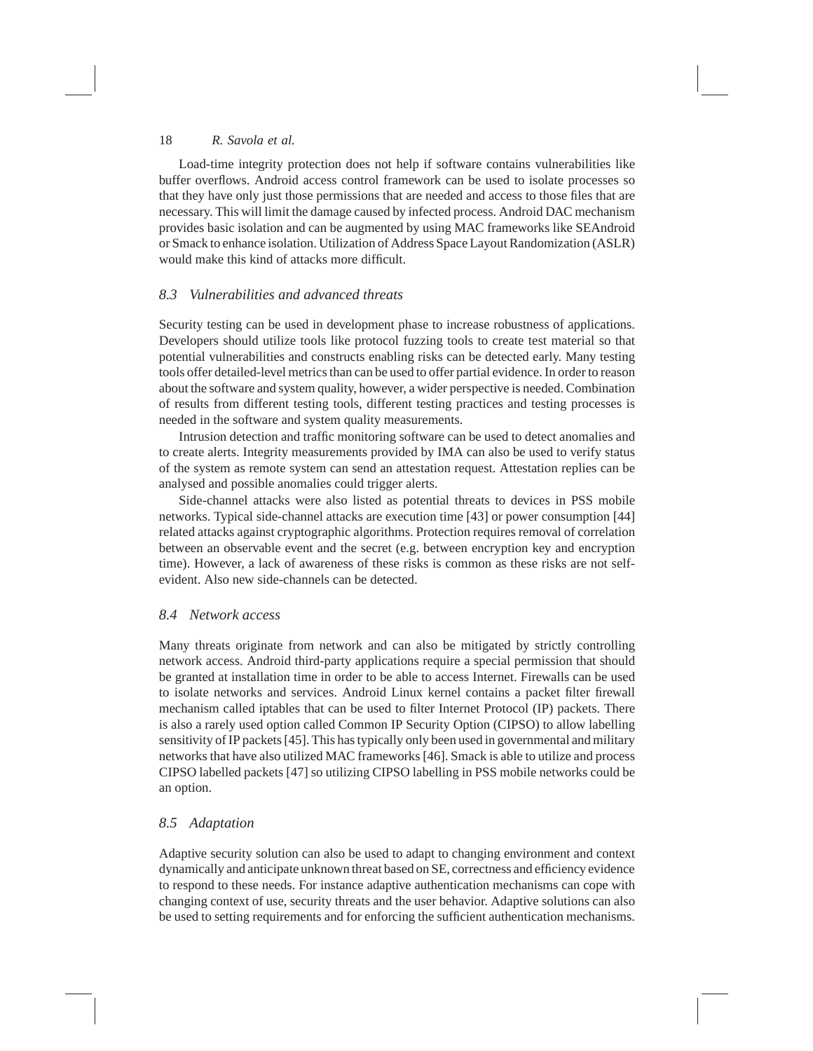Load-time integrity protection does not help if software contains vulnerabilities like buffer overflows. Android access control framework can be used to isolate processes so that they have only just those permissions that are needed and access to those files that are necessary. This will limit the damage caused by infected process. Android DAC mechanism provides basic isolation and can be augmented by using MAC frameworks like SEAndroid or Smack to enhance isolation. Utilization of Address Space Layout Randomization (ASLR) would make this kind of attacks more difficult.

# *8.3 Vulnerabilities and advanced threats*

Security testing can be used in development phase to increase robustness of applications. Developers should utilize tools like protocol fuzzing tools to create test material so that potential vulnerabilities and constructs enabling risks can be detected early. Many testing tools offer detailed-level metrics than can be used to offer partial evidence. In order to reason about the software and system quality, however, a wider perspective is needed. Combination of results from different testing tools, different testing practices and testing processes is needed in the software and system quality measurements.

Intrusion detection and traffic monitoring software can be used to detect anomalies and to create alerts. Integrity measurements provided by IMA can also be used to verify status of the system as remote system can send an attestation request. Attestation replies can be analysed and possible anomalies could trigger alerts.

Side-channel attacks were also listed as potential threats to devices in PSS mobile networks. Typical side-channel attacks are execution time [43] or power consumption [44] related attacks against cryptographic algorithms. Protection requires removal of correlation between an observable event and the secret (e.g. between encryption key and encryption time). However, a lack of awareness of these risks is common as these risks are not selfevident. Also new side-channels can be detected.

#### *8.4 Network access*

Many threats originate from network and can also be mitigated by strictly controlling network access. Android third-party applications require a special permission that should be granted at installation time in order to be able to access Internet. Firewalls can be used to isolate networks and services. Android Linux kernel contains a packet filter firewall mechanism called iptables that can be used to filter Internet Protocol (IP) packets. There is also a rarely used option called Common IP Security Option (CIPSO) to allow labelling sensitivity of IP packets [45]. This has typically only been used in governmental and military networks that have also utilized MAC frameworks [46]. Smack is able to utilize and process CIPSO labelled packets [47] so utilizing CIPSO labelling in PSS mobile networks could be an option.

# *8.5 Adaptation*

Adaptive security solution can also be used to adapt to changing environment and context dynamically and anticipate unknown threat based on SE, correctness and efficiency evidence to respond to these needs. For instance adaptive authentication mechanisms can cope with changing context of use, security threats and the user behavior. Adaptive solutions can also be used to setting requirements and for enforcing the sufficient authentication mechanisms.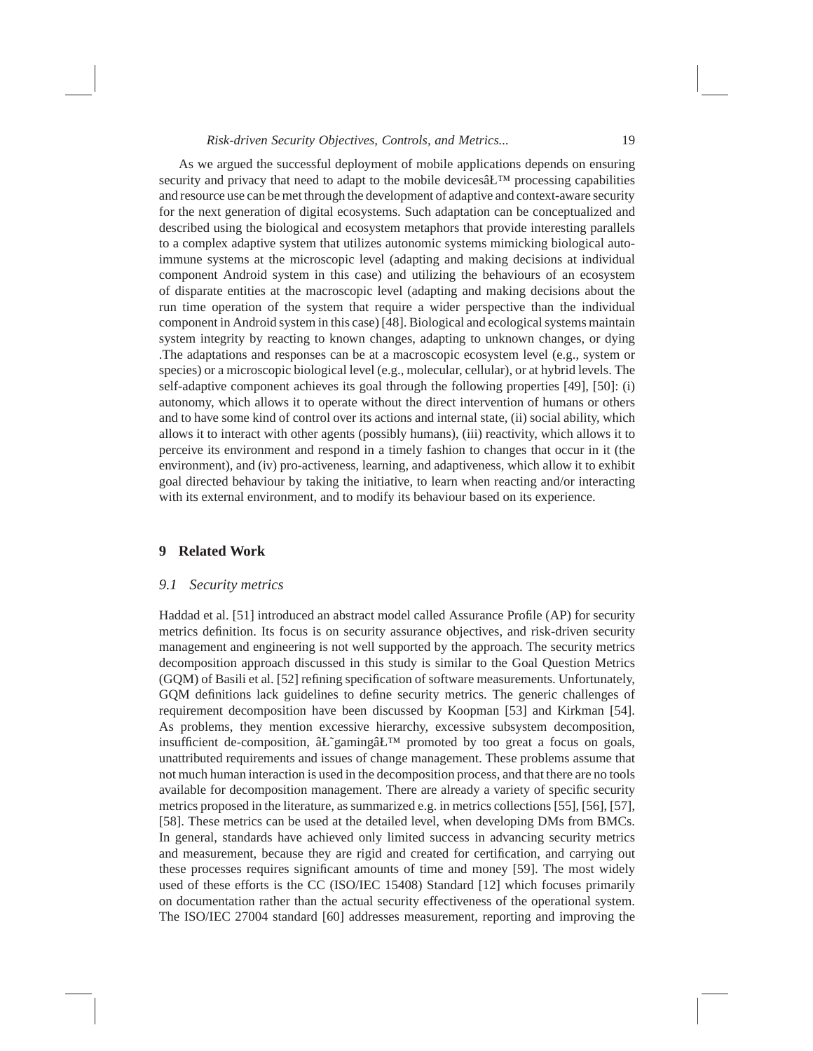As we argued the successful deployment of mobile applications depends on ensuring security and privacy that need to adapt to the mobile devices $\hat{a}L^{TM}$  processing capabilities and resource use can be met through the development of adaptive and context-aware security for the next generation of digital ecosystems. Such adaptation can be conceptualized and described using the biological and ecosystem metaphors that provide interesting parallels to a complex adaptive system that utilizes autonomic systems mimicking biological autoimmune systems at the microscopic level (adapting and making decisions at individual component Android system in this case) and utilizing the behaviours of an ecosystem of disparate entities at the macroscopic level (adapting and making decisions about the run time operation of the system that require a wider perspective than the individual component in Android system in this case) [48]. Biological and ecological systems maintain system integrity by reacting to known changes, adapting to unknown changes, or dying .The adaptations and responses can be at a macroscopic ecosystem level (e.g., system or species) or a microscopic biological level (e.g., molecular, cellular), or at hybrid levels. The self-adaptive component achieves its goal through the following properties [49], [50]: (i) autonomy, which allows it to operate without the direct intervention of humans or others and to have some kind of control over its actions and internal state, (ii) social ability, which allows it to interact with other agents (possibly humans), (iii) reactivity, which allows it to perceive its environment and respond in a timely fashion to changes that occur in it (the environment), and (iv) pro-activeness, learning, and adaptiveness, which allow it to exhibit goal directed behaviour by taking the initiative, to learn when reacting and/or interacting with its external environment, and to modify its behaviour based on its experience.

# **9 Related Work**

#### *9.1 Security metrics*

Haddad et al. [51] introduced an abstract model called Assurance Profile (AP) for security metrics definition. Its focus is on security assurance objectives, and risk-driven security management and engineering is not well supported by the approach. The security metrics decomposition approach discussed in this study is similar to the Goal Question Metrics (GQM) of Basili et al. [52] refining specification of software measurements. Unfortunately, GQM definitions lack guidelines to define security metrics. The generic challenges of requirement decomposition have been discussed by Koopman [53] and Kirkman [54]. As problems, they mention excessive hierarchy, excessive subsystem decomposition, insufficient de-composition, âŁ~gaming⣙ promoted by too great a focus on goals, unattributed requirements and issues of change management. These problems assume that not much human interaction is used in the decomposition process, and that there are no tools available for decomposition management. There are already a variety of specific security metrics proposed in the literature, as summarized e.g. in metrics collections [55], [56], [57], [58]. These metrics can be used at the detailed level, when developing DMs from BMCs. In general, standards have achieved only limited success in advancing security metrics and measurement, because they are rigid and created for certification, and carrying out these processes requires significant amounts of time and money [59]. The most widely used of these efforts is the CC (ISO/IEC 15408) Standard [12] which focuses primarily on documentation rather than the actual security effectiveness of the operational system. The ISO/IEC 27004 standard [60] addresses measurement, reporting and improving the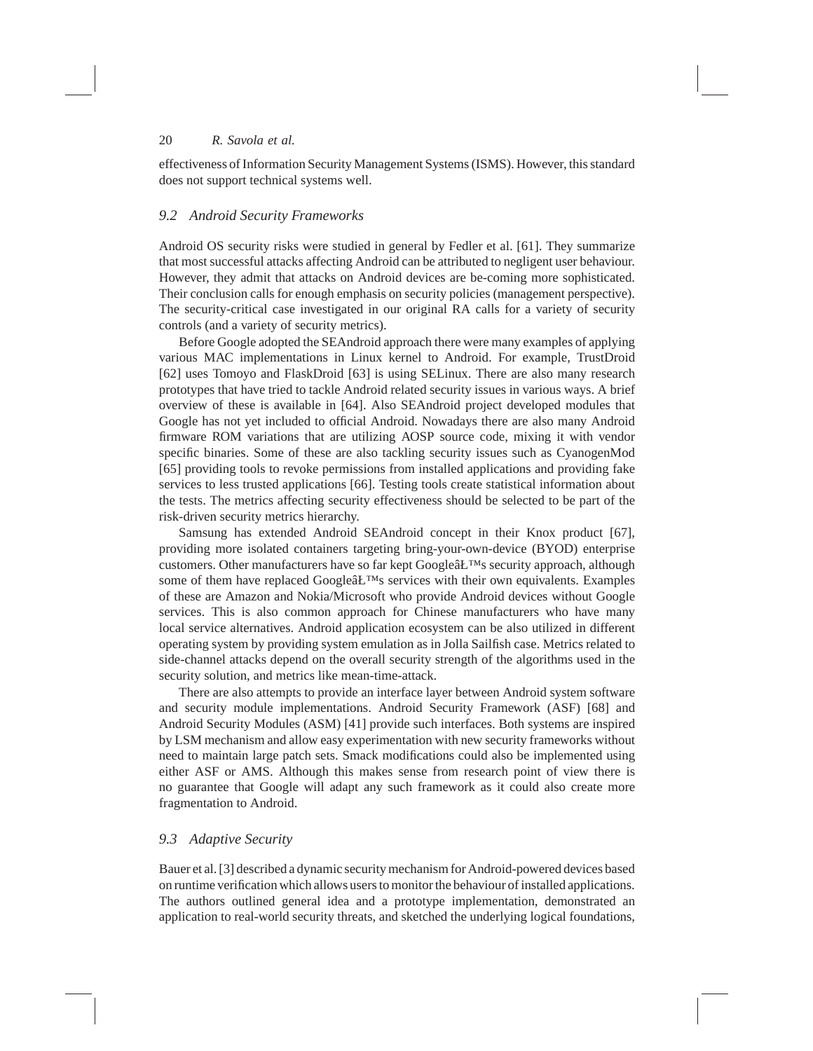effectiveness of Information Security Management Systems(ISMS). However, this standard does not support technical systems well.

## *9.2 Android Security Frameworks*

Android OS security risks were studied in general by Fedler et al. [61]. They summarize that most successful attacks affecting Android can be attributed to negligent user behaviour. However, they admit that attacks on Android devices are be-coming more sophisticated. Their conclusion calls for enough emphasis on security policies (management perspective). The security-critical case investigated in our original RA calls for a variety of security controls (and a variety of security metrics).

Before Google adopted the SEAndroid approach there were many examples of applying various MAC implementations in Linux kernel to Android. For example, TrustDroid [62] uses Tomoyo and FlaskDroid [63] is using SELinux. There are also many research prototypes that have tried to tackle Android related security issues in various ways. A brief overview of these is available in [64]. Also SEAndroid project developed modules that Google has not yet included to official Android. Nowadays there are also many Android firmware ROM variations that are utilizing AOSP source code, mixing it with vendor specific binaries. Some of these are also tackling security issues such as CyanogenMod [65] providing tools to revoke permissions from installed applications and providing fake services to less trusted applications [66]. Testing tools create statistical information about the tests. The metrics affecting security effectiveness should be selected to be part of the risk-driven security metrics hierarchy.

Samsung has extended Android SEAndroid concept in their Knox product [67], providing more isolated containers targeting bring-your-own-device (BYOD) enterprise customers. Other manufacturers have so far kept Googleâ $E^{TM}$ s security approach, although some of them have replaced Google $\hat{a}$ E<sup>TM</sup>s services with their own equivalents. Examples of these are Amazon and Nokia/Microsoft who provide Android devices without Google services. This is also common approach for Chinese manufacturers who have many local service alternatives. Android application ecosystem can be also utilized in different operating system by providing system emulation as in Jolla Sailfish case. Metrics related to side-channel attacks depend on the overall security strength of the algorithms used in the security solution, and metrics like mean-time-attack.

There are also attempts to provide an interface layer between Android system software and security module implementations. Android Security Framework (ASF) [68] and Android Security Modules (ASM) [41] provide such interfaces. Both systems are inspired by LSM mechanism and allow easy experimentation with new security frameworks without need to maintain large patch sets. Smack modifications could also be implemented using either ASF or AMS. Although this makes sense from research point of view there is no guarantee that Google will adapt any such framework as it could also create more fragmentation to Android.

## *9.3 Adaptive Security*

Bauer et al. [3] described a dynamic security mechanism for Android-powered devices based on runtime verification which allows users to monitor the behaviour of installed applications. The authors outlined general idea and a prototype implementation, demonstrated an application to real-world security threats, and sketched the underlying logical foundations,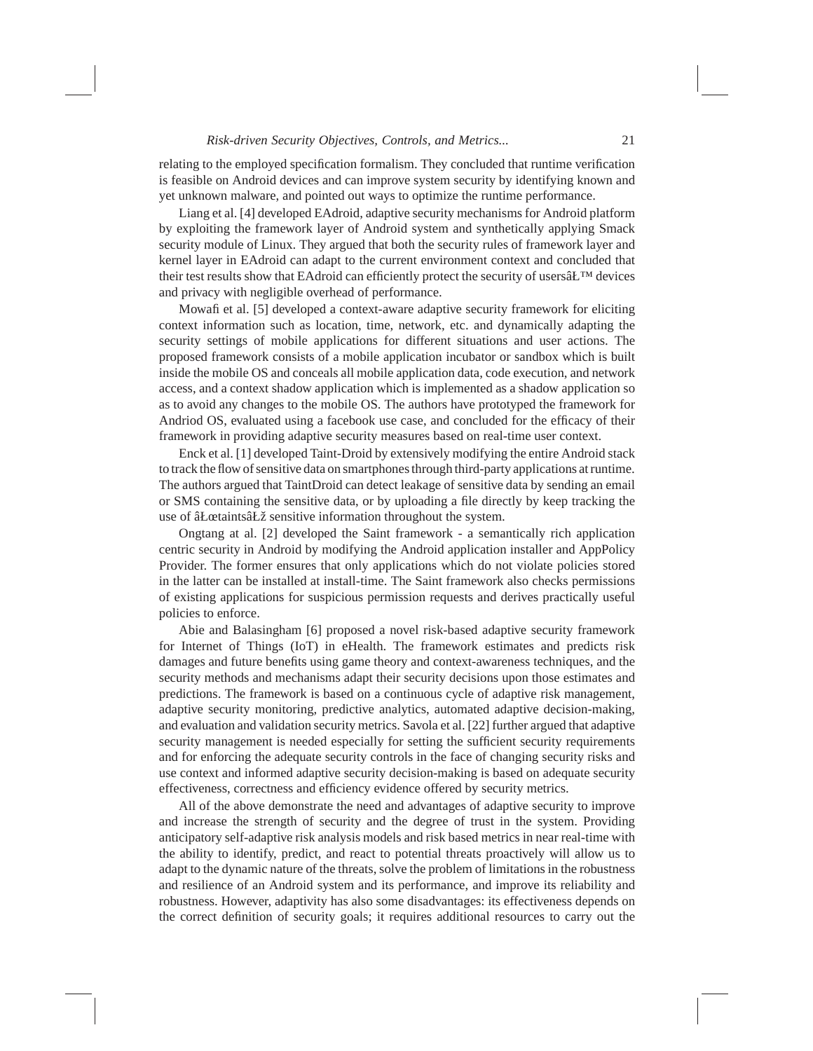relating to the employed specification formalism. They concluded that runtime verification is feasible on Android devices and can improve system security by identifying known and yet unknown malware, and pointed out ways to optimize the runtime performance.

Liang et al. [4] developed EAdroid, adaptive security mechanisms for Android platform by exploiting the framework layer of Android system and synthetically applying Smack security module of Linux. They argued that both the security rules of framework layer and kernel layer in EAdroid can adapt to the current environment context and concluded that their test results show that EAdroid can efficiently protect the security of users $\hat{a}L^{TM}$  devices and privacy with negligible overhead of performance.

Mowafi et al. [5] developed a context-aware adaptive security framework for eliciting context information such as location, time, network, etc. and dynamically adapting the security settings of mobile applications for different situations and user actions. The proposed framework consists of a mobile application incubator or sandbox which is built inside the mobile OS and conceals all mobile application data, code execution, and network access, and a context shadow application which is implemented as a shadow application so as to avoid any changes to the mobile OS. The authors have prototyped the framework for Andriod OS, evaluated using a facebook use case, and concluded for the efficacy of their framework in providing adaptive security measures based on real-time user context.

Enck et al. [1] developed Taint-Droid by extensively modifying the entire Android stack to track the flow of sensitive data on smartphones through third-party applications at runtime. The authors argued that TaintDroid can detect leakage of sensitive data by sending an email or SMS containing the sensitive data, or by uploading a file directly by keep tracking the use of âŁœtaints⣞ sensitive information throughout the system.

Ongtang at al. [2] developed the Saint framework - a semantically rich application centric security in Android by modifying the Android application installer and AppPolicy Provider. The former ensures that only applications which do not violate policies stored in the latter can be installed at install-time. The Saint framework also checks permissions of existing applications for suspicious permission requests and derives practically useful policies to enforce.

Abie and Balasingham [6] proposed a novel risk-based adaptive security framework for Internet of Things (IoT) in eHealth. The framework estimates and predicts risk damages and future benefits using game theory and context-awareness techniques, and the security methods and mechanisms adapt their security decisions upon those estimates and predictions. The framework is based on a continuous cycle of adaptive risk management, adaptive security monitoring, predictive analytics, automated adaptive decision-making, and evaluation and validation security metrics. Savola et al. [22] further argued that adaptive security management is needed especially for setting the sufficient security requirements and for enforcing the adequate security controls in the face of changing security risks and use context and informed adaptive security decision-making is based on adequate security effectiveness, correctness and efficiency evidence offered by security metrics.

All of the above demonstrate the need and advantages of adaptive security to improve and increase the strength of security and the degree of trust in the system. Providing anticipatory self-adaptive risk analysis models and risk based metrics in near real-time with the ability to identify, predict, and react to potential threats proactively will allow us to adapt to the dynamic nature of the threats, solve the problem of limitations in the robustness and resilience of an Android system and its performance, and improve its reliability and robustness. However, adaptivity has also some disadvantages: its effectiveness depends on the correct definition of security goals; it requires additional resources to carry out the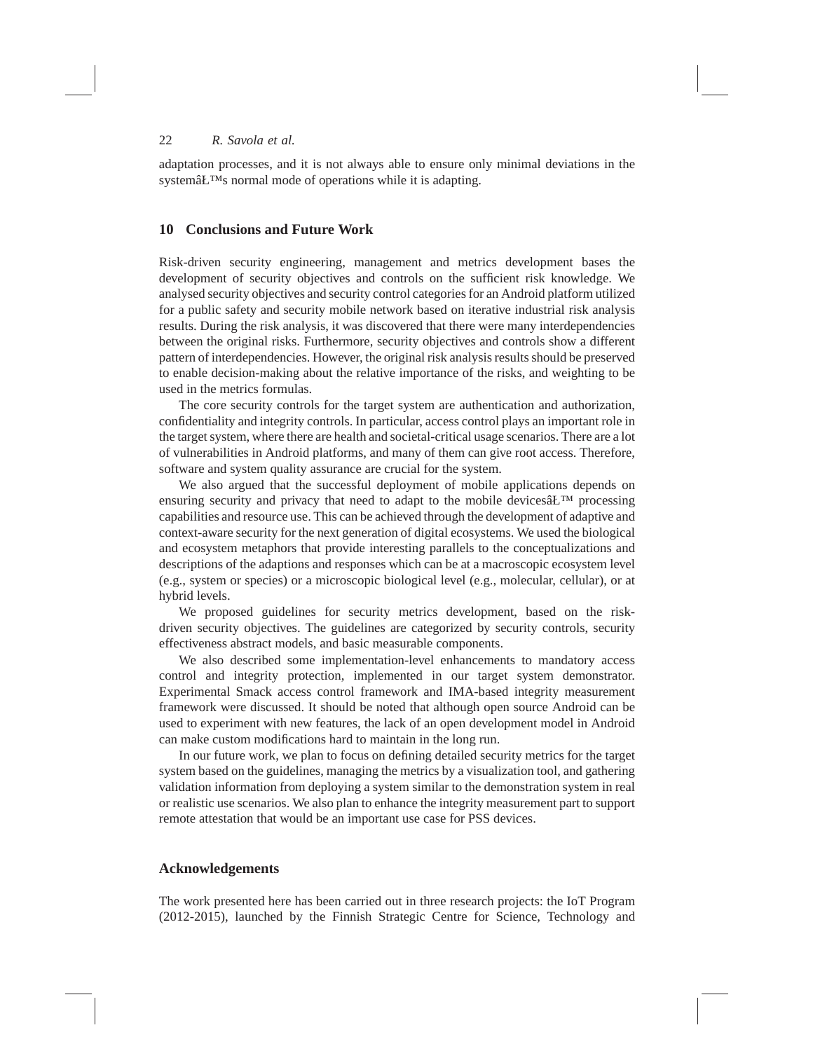adaptation processes, and it is not always able to ensure only minimal deviations in the systemâŁ<sup>™</sup>s normal mode of operations while it is adapting.

### **10 Conclusions and Future Work**

Risk-driven security engineering, management and metrics development bases the development of security objectives and controls on the sufficient risk knowledge. We analysed security objectives and security control categories for an Android platform utilized for a public safety and security mobile network based on iterative industrial risk analysis results. During the risk analysis, it was discovered that there were many interdependencies between the original risks. Furthermore, security objectives and controls show a different pattern of interdependencies. However, the original risk analysis results should be preserved to enable decision-making about the relative importance of the risks, and weighting to be used in the metrics formulas.

The core security controls for the target system are authentication and authorization, confidentiality and integrity controls. In particular, access control plays an important role in the target system, where there are health and societal-critical usage scenarios. There are a lot of vulnerabilities in Android platforms, and many of them can give root access. Therefore, software and system quality assurance are crucial for the system.

We also argued that the successful deployment of mobile applications depends on ensuring security and privacy that need to adapt to the mobile devices  $\hat{a}L^{TM}$  processing capabilities and resource use. This can be achieved through the development of adaptive and context-aware security for the next generation of digital ecosystems. We used the biological and ecosystem metaphors that provide interesting parallels to the conceptualizations and descriptions of the adaptions and responses which can be at a macroscopic ecosystem level (e.g., system or species) or a microscopic biological level (e.g., molecular, cellular), or at hybrid levels.

We proposed guidelines for security metrics development, based on the riskdriven security objectives. The guidelines are categorized by security controls, security effectiveness abstract models, and basic measurable components.

We also described some implementation-level enhancements to mandatory access control and integrity protection, implemented in our target system demonstrator. Experimental Smack access control framework and IMA-based integrity measurement framework were discussed. It should be noted that although open source Android can be used to experiment with new features, the lack of an open development model in Android can make custom modifications hard to maintain in the long run.

In our future work, we plan to focus on defining detailed security metrics for the target system based on the guidelines, managing the metrics by a visualization tool, and gathering validation information from deploying a system similar to the demonstration system in real or realistic use scenarios. We also plan to enhance the integrity measurement part to support remote attestation that would be an important use case for PSS devices.

# **Acknowledgements**

The work presented here has been carried out in three research projects: the IoT Program (2012-2015), launched by the Finnish Strategic Centre for Science, Technology and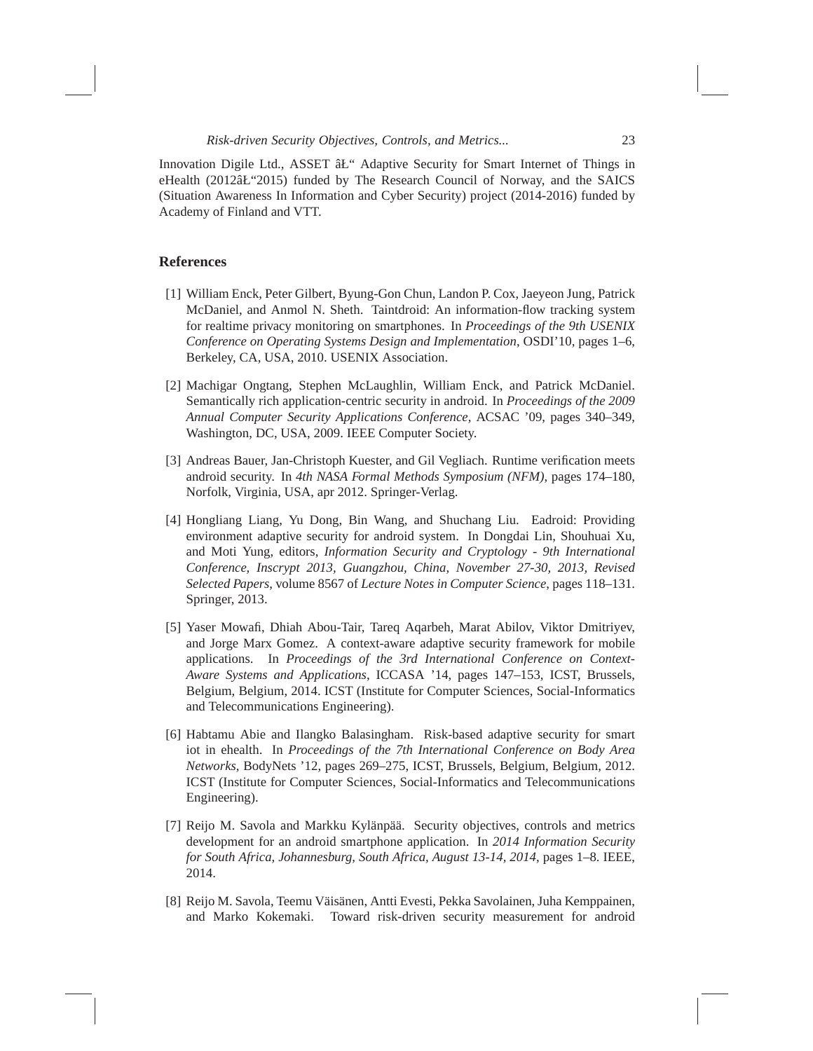Innovation Digile Ltd., ASSET  $\hat{a}L^{\prime\prime}$  Adaptive Security for Smart Internet of Things in eHealth (2012⣓2015) funded by The Research Council of Norway, and the SAICS (Situation Awareness In Information and Cyber Security) project (2014-2016) funded by Academy of Finland and VTT.

# **References**

- [1] William Enck, Peter Gilbert, Byung-Gon Chun, Landon P. Cox, Jaeyeon Jung, Patrick McDaniel, and Anmol N. Sheth. Taintdroid: An information-flow tracking system for realtime privacy monitoring on smartphones. In *Proceedings of the 9th USENIX Conference on Operating Systems Design and Implementation*, OSDI'10, pages 1–6, Berkeley, CA, USA, 2010. USENIX Association.
- [2] Machigar Ongtang, Stephen McLaughlin, William Enck, and Patrick McDaniel. Semantically rich application-centric security in android. In *Proceedings of the 2009 Annual Computer Security Applications Conference*, ACSAC '09, pages 340–349, Washington, DC, USA, 2009. IEEE Computer Society.
- [3] Andreas Bauer, Jan-Christoph Kuester, and Gil Vegliach. Runtime verification meets android security. In *4th NASA Formal Methods Symposium (NFM)*, pages 174–180, Norfolk, Virginia, USA, apr 2012. Springer-Verlag.
- [4] Hongliang Liang, Yu Dong, Bin Wang, and Shuchang Liu. Eadroid: Providing environment adaptive security for android system. In Dongdai Lin, Shouhuai Xu, and Moti Yung, editors, *Information Security and Cryptology - 9th International Conference, Inscrypt 2013, Guangzhou, China, November 27-30, 2013, Revised Selected Papers*, volume 8567 of *Lecture Notes in Computer Science*, pages 118–131. Springer, 2013.
- [5] Yaser Mowafi, Dhiah Abou-Tair, Tareq Aqarbeh, Marat Abilov, Viktor Dmitriyev, and Jorge Marx Gomez. A context-aware adaptive security framework for mobile applications. In *Proceedings of the 3rd International Conference on Context-Aware Systems and Applications*, ICCASA '14, pages 147–153, ICST, Brussels, Belgium, Belgium, 2014. ICST (Institute for Computer Sciences, Social-Informatics and Telecommunications Engineering).
- [6] Habtamu Abie and Ilangko Balasingham. Risk-based adaptive security for smart iot in ehealth. In *Proceedings of the 7th International Conference on Body Area Networks*, BodyNets '12, pages 269–275, ICST, Brussels, Belgium, Belgium, 2012. ICST (Institute for Computer Sciences, Social-Informatics and Telecommunications Engineering).
- [7] Reijo M. Savola and Markku Kylänpää. Security objectives, controls and metrics development for an android smartphone application. In *2014 Information Security for South Africa, Johannesburg, South Africa, August 13-14, 2014*, pages 1–8. IEEE, 2014.
- [8] Reijo M. Savola, Teemu Väisänen, Antti Evesti, Pekka Savolainen, Juha Kemppainen, and Marko Kokemaki. Toward risk-driven security measurement for android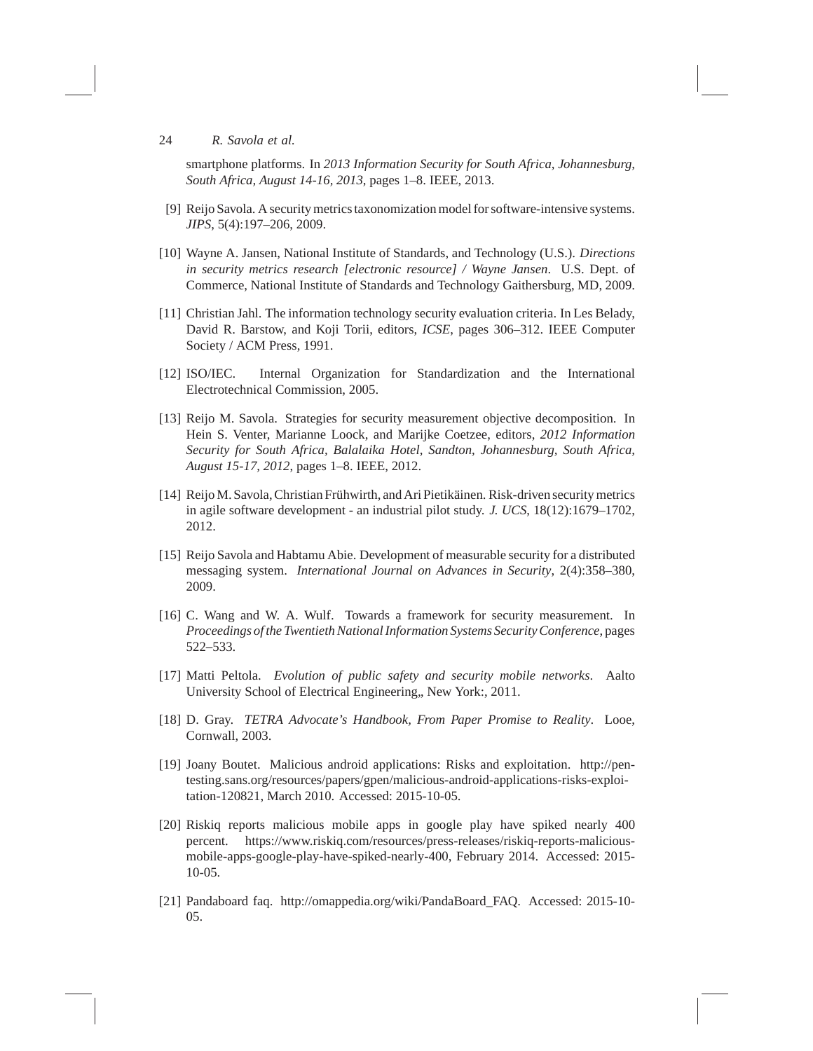smartphone platforms. In *2013 Information Security for South Africa, Johannesburg, South Africa, August 14-16, 2013*, pages 1–8. IEEE, 2013.

- [9] Reijo Savola. A security metrics taxonomization model for software-intensive systems. *JIPS*, 5(4):197–206, 2009.
- [10] Wayne A. Jansen, National Institute of Standards, and Technology (U.S.). *Directions in security metrics research [electronic resource] / Wayne Jansen*. U.S. Dept. of Commerce, National Institute of Standards and Technology Gaithersburg, MD, 2009.
- [11] Christian Jahl. The information technology security evaluation criteria. In Les Belady, David R. Barstow, and Koji Torii, editors, *ICSE*, pages 306–312. IEEE Computer Society / ACM Press, 1991.
- [12] ISO/IEC. Internal Organization for Standardization and the International Electrotechnical Commission, 2005.
- [13] Reijo M. Savola. Strategies for security measurement objective decomposition. In Hein S. Venter, Marianne Loock, and Marijke Coetzee, editors, *2012 Information Security for South Africa, Balalaika Hotel, Sandton, Johannesburg, South Africa, August 15-17, 2012*, pages 1–8. IEEE, 2012.
- [14] Reijo M. Savola, Christian Frühwirth, and Ari Pietikäinen. Risk-driven security metrics in agile software development - an industrial pilot study. *J. UCS*, 18(12):1679–1702, 2012.
- [15] Reijo Savola and Habtamu Abie. Development of measurable security for a distributed messaging system. *International Journal on Advances in Security*, 2(4):358–380, 2009.
- [16] C. Wang and W. A. Wulf. Towards a framework for security measurement. In *Proceedings of the Twentieth National Information Systems Security Conference*, pages 522–533.
- [17] Matti Peltola. *Evolution of public safety and security mobile networks*. Aalto University School of Electrical Engineering,, New York:, 2011.
- [18] D. Gray. *TETRA Advocate's Handbook, From Paper Promise to Reality*. Looe, Cornwall, 2003.
- [19] Joany Boutet. Malicious android applications: Risks and exploitation. http://pentesting.sans.org/resources/papers/gpen/malicious-android-applications-risks-exploitation-120821, March 2010. Accessed: 2015-10-05.
- [20] Riskiq reports malicious mobile apps in google play have spiked nearly 400 percent. https://www.riskiq.com/resources/press-releases/riskiq-reports-maliciousmobile-apps-google-play-have-spiked-nearly-400, February 2014. Accessed: 2015- 10-05.
- [21] Pandaboard faq. http://omappedia.org/wiki/PandaBoard\_FAQ. Accessed: 2015-10- 05.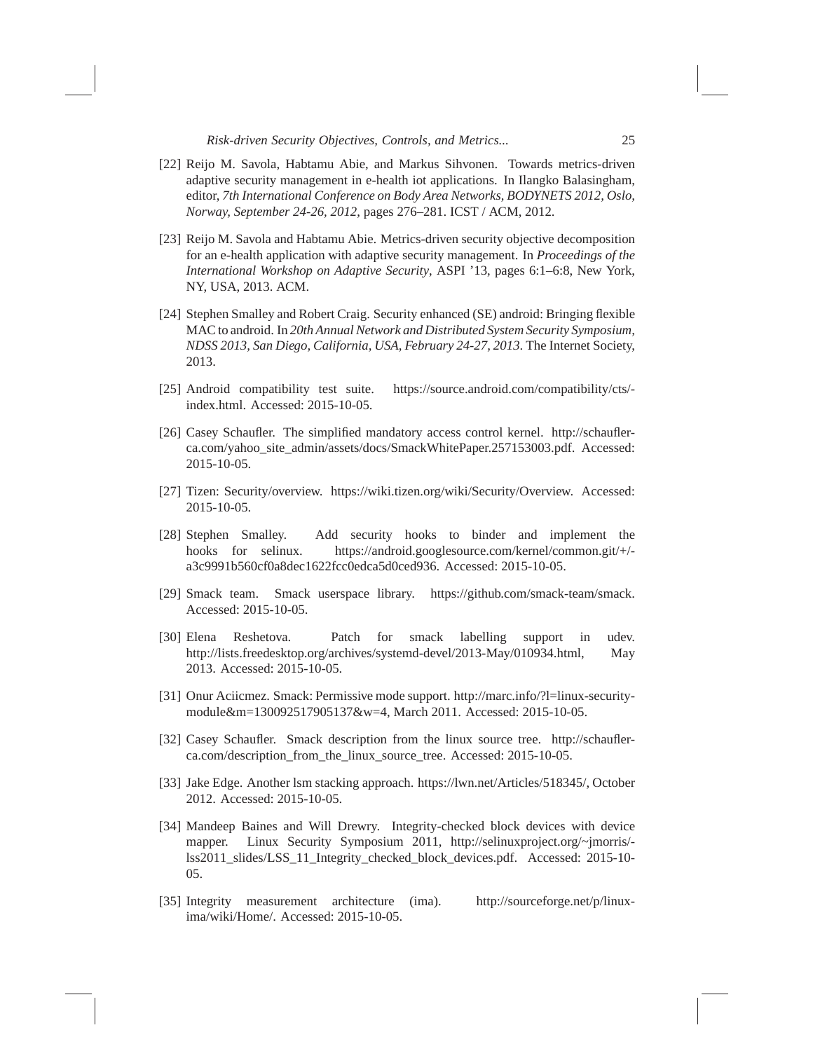- [22] Reijo M. Savola, Habtamu Abie, and Markus Sihvonen. Towards metrics-driven adaptive security management in e-health iot applications. In Ilangko Balasingham, editor, *7th International Conference on Body Area Networks, BODYNETS 2012, Oslo, Norway, September 24-26, 2012*, pages 276–281. ICST / ACM, 2012.
- [23] Reijo M. Savola and Habtamu Abie. Metrics-driven security objective decomposition for an e-health application with adaptive security management. In *Proceedings of the International Workshop on Adaptive Security*, ASPI '13, pages 6:1–6:8, New York, NY, USA, 2013. ACM.
- [24] Stephen Smalley and Robert Craig. Security enhanced (SE) android: Bringing flexible MAC to android. In *20th Annual Network and Distributed System Security Symposium, NDSS 2013, San Diego, California, USA, February 24-27, 2013*. The Internet Society, 2013.
- [25] Android compatibility test suite. https://source.android.com/compatibility/cts/ index.html. Accessed: 2015-10-05.
- [26] Casey Schaufler. The simplified mandatory access control kernel. http://schauflerca.com/yahoo\_site\_admin/assets/docs/SmackWhitePaper.257153003.pdf. Accessed: 2015-10-05.
- [27] Tizen: Security/overview. https://wiki.tizen.org/wiki/Security/Overview. Accessed: 2015-10-05.
- [28] Stephen Smalley. Add security hooks to binder and implement the hooks for selinux. https://android.googlesource.com/kernel/common.git/+/ a3c9991b560cf0a8dec1622fcc0edca5d0ced936. Accessed: 2015-10-05.
- [29] Smack team. Smack userspace library. https://github.com/smack-team/smack. Accessed: 2015-10-05.
- [30] Elena Reshetova. Patch for smack labelling support in udev. http://lists.freedesktop.org/archives/systemd-devel/2013-May/010934.html, May 2013. Accessed: 2015-10-05.
- [31] Onur Aciicmez. Smack: Permissive mode support. http://marc.info/?l=linux-securitymodule&m=130092517905137&w=4, March 2011. Accessed: 2015-10-05.
- [32] Casey Schaufler. Smack description from the linux source tree. http://schauflerca.com/description\_from\_the\_linux\_source\_tree. Accessed: 2015-10-05.
- [33] Jake Edge. Another lsm stacking approach. https://lwn.net/Articles/518345/, October 2012. Accessed: 2015-10-05.
- [34] Mandeep Baines and Will Drewry. Integrity-checked block devices with device mapper. Linux Security Symposium 2011, http://selinuxproject.org/~jmorris/ lss2011\_slides/LSS\_11\_Integrity\_checked\_block\_devices.pdf. Accessed: 2015-10- 05.
- [35] Integrity measurement architecture (ima). http://sourceforge.net/p/linuxima/wiki/Home/. Accessed: 2015-10-05.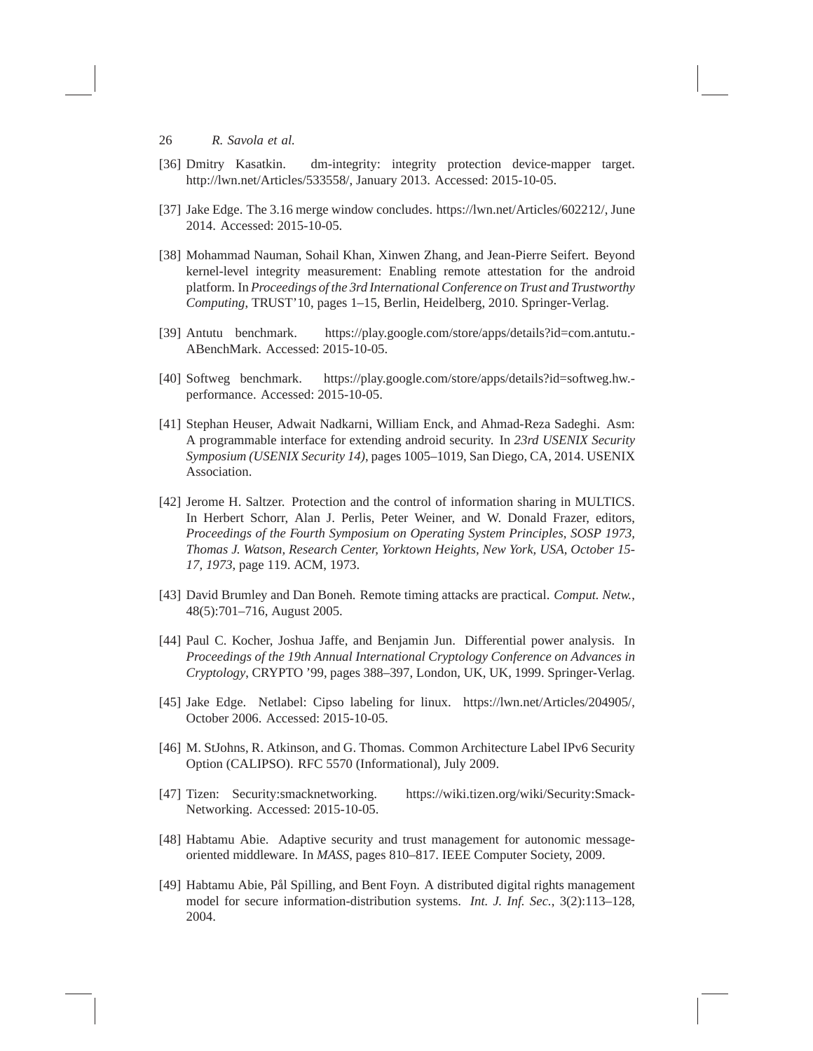- [36] Dmitry Kasatkin. dm-integrity: integrity protection device-mapper target. http://lwn.net/Articles/533558/, January 2013. Accessed: 2015-10-05.
- [37] Jake Edge. The 3.16 merge window concludes. https://lwn.net/Articles/602212/, June 2014. Accessed: 2015-10-05.
- [38] Mohammad Nauman, Sohail Khan, Xinwen Zhang, and Jean-Pierre Seifert. Beyond kernel-level integrity measurement: Enabling remote attestation for the android platform. In *Proceedings of the 3rd International Conference on Trust and Trustworthy Computing*, TRUST'10, pages 1–15, Berlin, Heidelberg, 2010. Springer-Verlag.
- [39] Antutu benchmark. https://play.google.com/store/apps/details?id=com.antutu.- ABenchMark. Accessed: 2015-10-05.
- [40] Softweg benchmark. https://play.google.com/store/apps/details?id=softweg.hw. performance. Accessed: 2015-10-05.
- [41] Stephan Heuser, Adwait Nadkarni, William Enck, and Ahmad-Reza Sadeghi. Asm: A programmable interface for extending android security. In *23rd USENIX Security Symposium (USENIX Security 14)*, pages 1005–1019, San Diego, CA, 2014. USENIX Association.
- [42] Jerome H. Saltzer. Protection and the control of information sharing in MULTICS. In Herbert Schorr, Alan J. Perlis, Peter Weiner, and W. Donald Frazer, editors, *Proceedings of the Fourth Symposium on Operating System Principles, SOSP 1973, Thomas J. Watson, Research Center, Yorktown Heights, New York, USA, October 15- 17, 1973*, page 119. ACM, 1973.
- [43] David Brumley and Dan Boneh. Remote timing attacks are practical. *Comput. Netw.*, 48(5):701–716, August 2005.
- [44] Paul C. Kocher, Joshua Jaffe, and Benjamin Jun. Differential power analysis. In *Proceedings of the 19th Annual International Cryptology Conference on Advances in Cryptology*, CRYPTO '99, pages 388–397, London, UK, UK, 1999. Springer-Verlag.
- [45] Jake Edge. Netlabel: Cipso labeling for linux. https://lwn.net/Articles/204905/, October 2006. Accessed: 2015-10-05.
- [46] M. StJohns, R. Atkinson, and G. Thomas. Common Architecture Label IPv6 Security Option (CALIPSO). RFC 5570 (Informational), July 2009.
- [47] Tizen: Security:smacknetworking. https://wiki.tizen.org/wiki/Security:Smack-Networking. Accessed: 2015-10-05.
- [48] Habtamu Abie. Adaptive security and trust management for autonomic messageoriented middleware. In *MASS*, pages 810–817. IEEE Computer Society, 2009.
- [49] Habtamu Abie, Pål Spilling, and Bent Foyn. A distributed digital rights management model for secure information-distribution systems. *Int. J. Inf. Sec.*, 3(2):113–128, 2004.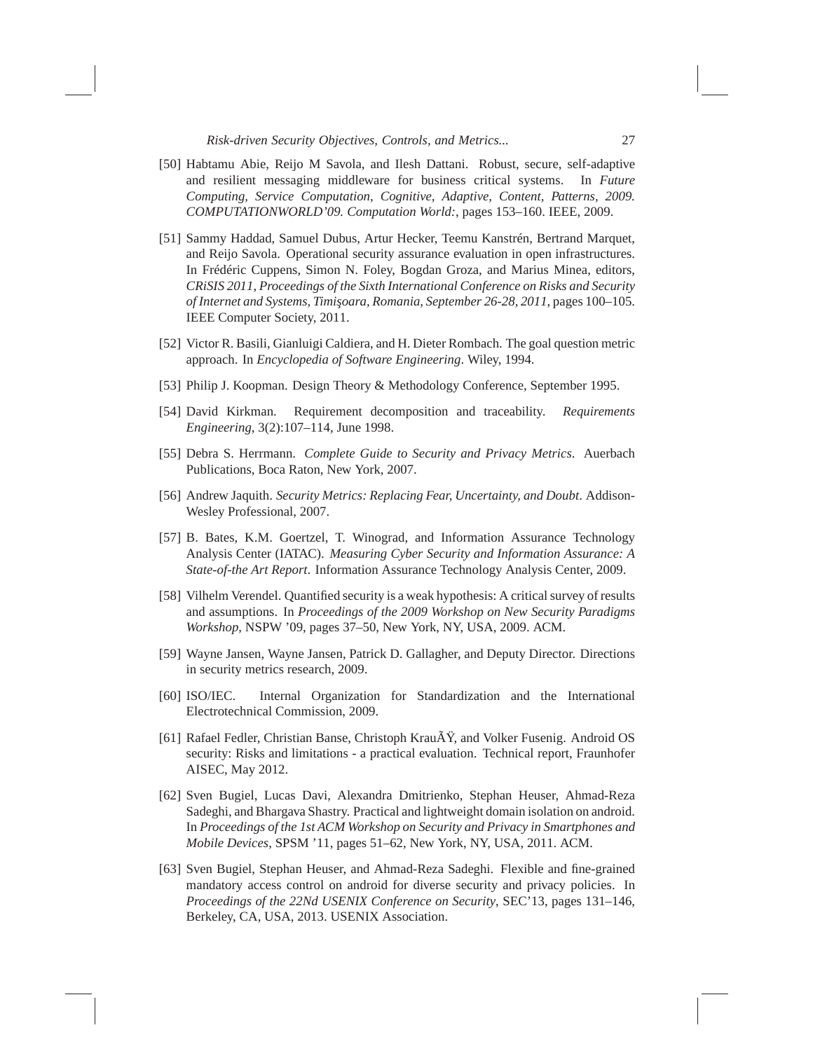- [50] Habtamu Abie, Reijo M Savola, and Ilesh Dattani. Robust, secure, self-adaptive and resilient messaging middleware for business critical systems. In *Future Computing, Service Computation, Cognitive, Adaptive, Content, Patterns, 2009. COMPUTATIONWORLD'09. Computation World:*, pages 153–160. IEEE, 2009.
- [51] Sammy Haddad, Samuel Dubus, Artur Hecker, Teemu Kanstrén, Bertrand Marquet, and Reijo Savola. Operational security assurance evaluation in open infrastructures. In Frédéric Cuppens, Simon N. Foley, Bogdan Groza, and Marius Minea, editors, *CRiSIS 2011, Proceedings of the Sixth International Conference on Risks and Security of Internet and Systems, Timisoara, Romania, September 26-28, 2011, pages 100–105.* IEEE Computer Society, 2011.
- [52] Victor R. Basili, Gianluigi Caldiera, and H. Dieter Rombach. The goal question metric approach. In *Encyclopedia of Software Engineering*. Wiley, 1994.
- [53] Philip J. Koopman. Design Theory & Methodology Conference, September 1995.
- [54] David Kirkman. Requirement decomposition and traceability. *Requirements Engineering*, 3(2):107–114, June 1998.
- [55] Debra S. Herrmann. *Complete Guide to Security and Privacy Metrics*. Auerbach Publications, Boca Raton, New York, 2007.
- [56] Andrew Jaquith. *Security Metrics: Replacing Fear, Uncertainty, and Doubt*. Addison-Wesley Professional, 2007.
- [57] B. Bates, K.M. Goertzel, T. Winograd, and Information Assurance Technology Analysis Center (IATAC). *Measuring Cyber Security and Information Assurance: A State-of-the Art Report*. Information Assurance Technology Analysis Center, 2009.
- [58] Vilhelm Verendel. Quantified security is a weak hypothesis: A critical survey of results and assumptions. In *Proceedings of the 2009 Workshop on New Security Paradigms Workshop*, NSPW '09, pages 37–50, New York, NY, USA, 2009. ACM.
- [59] Wayne Jansen, Wayne Jansen, Patrick D. Gallagher, and Deputy Director. Directions in security metrics research, 2009.
- [60] ISO/IEC. Internal Organization for Standardization and the International Electrotechnical Commission, 2009.
- [61] Rafael Fedler, Christian Banse, Christoph KrauÄY, and Volker Fusenig. Android OS security: Risks and limitations - a practical evaluation. Technical report, Fraunhofer AISEC, May 2012.
- [62] Sven Bugiel, Lucas Davi, Alexandra Dmitrienko, Stephan Heuser, Ahmad-Reza Sadeghi, and Bhargava Shastry. Practical and lightweight domain isolation on android. In *Proceedings of the 1st ACM Workshop on Security and Privacy in Smartphones and Mobile Devices*, SPSM '11, pages 51–62, New York, NY, USA, 2011. ACM.
- [63] Sven Bugiel, Stephan Heuser, and Ahmad-Reza Sadeghi. Flexible and fine-grained mandatory access control on android for diverse security and privacy policies. In *Proceedings of the 22Nd USENIX Conference on Security*, SEC'13, pages 131–146, Berkeley, CA, USA, 2013. USENIX Association.